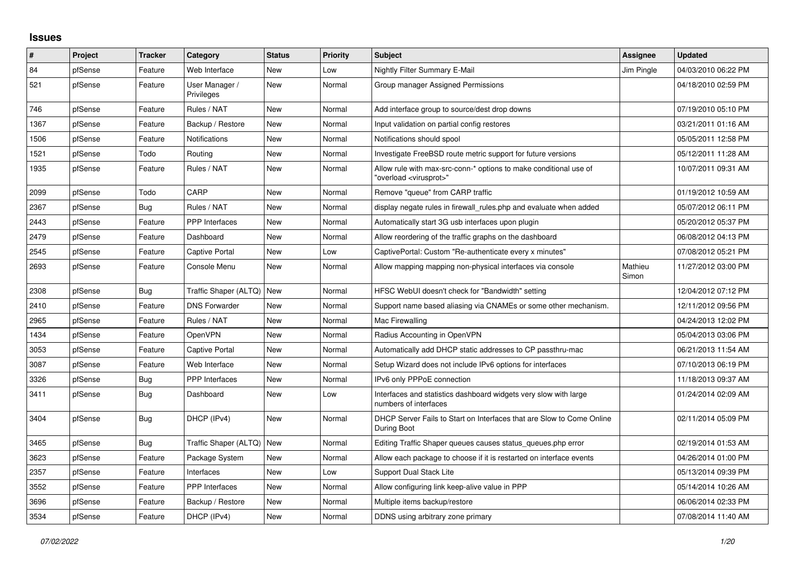## **Issues**

| ∦    | Project | <b>Tracker</b> | Category                     | <b>Status</b> | <b>Priority</b> | <b>Subject</b>                                                                                          | Assignee         | <b>Updated</b>      |
|------|---------|----------------|------------------------------|---------------|-----------------|---------------------------------------------------------------------------------------------------------|------------------|---------------------|
| 84   | pfSense | Feature        | Web Interface                | <b>New</b>    | Low             | <b>Nightly Filter Summary E-Mail</b>                                                                    | Jim Pingle       | 04/03/2010 06:22 PM |
| 521  | pfSense | Feature        | User Manager /<br>Privileges | <b>New</b>    | Normal          | Group manager Assigned Permissions                                                                      |                  | 04/18/2010 02:59 PM |
| 746  | pfSense | Feature        | Rules / NAT                  | <b>New</b>    | Normal          | Add interface group to source/dest drop downs                                                           |                  | 07/19/2010 05:10 PM |
| 1367 | pfSense | Feature        | Backup / Restore             | New           | Normal          | Input validation on partial config restores                                                             |                  | 03/21/2011 01:16 AM |
| 1506 | pfSense | Feature        | <b>Notifications</b>         | <b>New</b>    | Normal          | Notifications should spool                                                                              |                  | 05/05/2011 12:58 PM |
| 1521 | pfSense | Todo           | Routing                      | New           | Normal          | Investigate FreeBSD route metric support for future versions                                            |                  | 05/12/2011 11:28 AM |
| 1935 | pfSense | Feature        | Rules / NAT                  | <b>New</b>    | Normal          | Allow rule with max-src-conn-* options to make conditional use of<br>'overload <virusprot>"</virusprot> |                  | 10/07/2011 09:31 AM |
| 2099 | pfSense | Todo           | CARP                         | <b>New</b>    | Normal          | Remove "queue" from CARP traffic                                                                        |                  | 01/19/2012 10:59 AM |
| 2367 | pfSense | Bug            | Rules / NAT                  | New           | Normal          | display negate rules in firewall_rules.php and evaluate when added                                      |                  | 05/07/2012 06:11 PM |
| 2443 | pfSense | Feature        | PPP Interfaces               | <b>New</b>    | Normal          | Automatically start 3G usb interfaces upon plugin                                                       |                  | 05/20/2012 05:37 PM |
| 2479 | pfSense | Feature        | Dashboard                    | New           | Normal          | Allow reordering of the traffic graphs on the dashboard                                                 |                  | 06/08/2012 04:13 PM |
| 2545 | pfSense | Feature        | <b>Captive Portal</b>        | New           | Low             | CaptivePortal: Custom "Re-authenticate every x minutes"                                                 |                  | 07/08/2012 05:21 PM |
| 2693 | pfSense | Feature        | Console Menu                 | New           | Normal          | Allow mapping mapping non-physical interfaces via console                                               | Mathieu<br>Simon | 11/27/2012 03:00 PM |
| 2308 | pfSense | Bug            | Traffic Shaper (ALTQ)   New  |               | Normal          | HFSC WebUI doesn't check for "Bandwidth" setting                                                        |                  | 12/04/2012 07:12 PM |
| 2410 | pfSense | Feature        | <b>DNS Forwarder</b>         | <b>New</b>    | Normal          | Support name based aliasing via CNAMEs or some other mechanism.                                         |                  | 12/11/2012 09:56 PM |
| 2965 | pfSense | Feature        | Rules / NAT                  | New           | Normal          | Mac Firewalling                                                                                         |                  | 04/24/2013 12:02 PM |
| 1434 | pfSense | Feature        | <b>OpenVPN</b>               | <b>New</b>    | Normal          | Radius Accounting in OpenVPN                                                                            |                  | 05/04/2013 03:06 PM |
| 3053 | pfSense | Feature        | <b>Captive Portal</b>        | <b>New</b>    | Normal          | Automatically add DHCP static addresses to CP passthru-mac                                              |                  | 06/21/2013 11:54 AM |
| 3087 | pfSense | Feature        | Web Interface                | <b>New</b>    | Normal          | Setup Wizard does not include IPv6 options for interfaces                                               |                  | 07/10/2013 06:19 PM |
| 3326 | pfSense | <b>Bug</b>     | <b>PPP</b> Interfaces        | New           | Normal          | IPv6 only PPPoE connection                                                                              |                  | 11/18/2013 09:37 AM |
| 3411 | pfSense | Bug            | Dashboard                    | <b>New</b>    | Low             | Interfaces and statistics dashboard widgets very slow with large<br>numbers of interfaces               |                  | 01/24/2014 02:09 AM |
| 3404 | pfSense | Bug            | DHCP (IPv4)                  | New           | Normal          | DHCP Server Fails to Start on Interfaces that are Slow to Come Online<br>During Boot                    |                  | 02/11/2014 05:09 PM |
| 3465 | pfSense | Bug            | Traffic Shaper (ALTQ)   New  |               | Normal          | Editing Traffic Shaper queues causes status_queues.php error                                            |                  | 02/19/2014 01:53 AM |
| 3623 | pfSense | Feature        | Package System               | <b>New</b>    | Normal          | Allow each package to choose if it is restarted on interface events                                     |                  | 04/26/2014 01:00 PM |
| 2357 | pfSense | Feature        | Interfaces                   | New           | Low             | Support Dual Stack Lite                                                                                 |                  | 05/13/2014 09:39 PM |
| 3552 | pfSense | Feature        | PPP Interfaces               | <b>New</b>    | Normal          | Allow configuring link keep-alive value in PPP                                                          |                  | 05/14/2014 10:26 AM |
| 3696 | pfSense | Feature        | Backup / Restore             | <b>New</b>    | Normal          | Multiple items backup/restore                                                                           |                  | 06/06/2014 02:33 PM |
| 3534 | pfSense | Feature        | DHCP (IPv4)                  | New           | Normal          | DDNS using arbitrary zone primary                                                                       |                  | 07/08/2014 11:40 AM |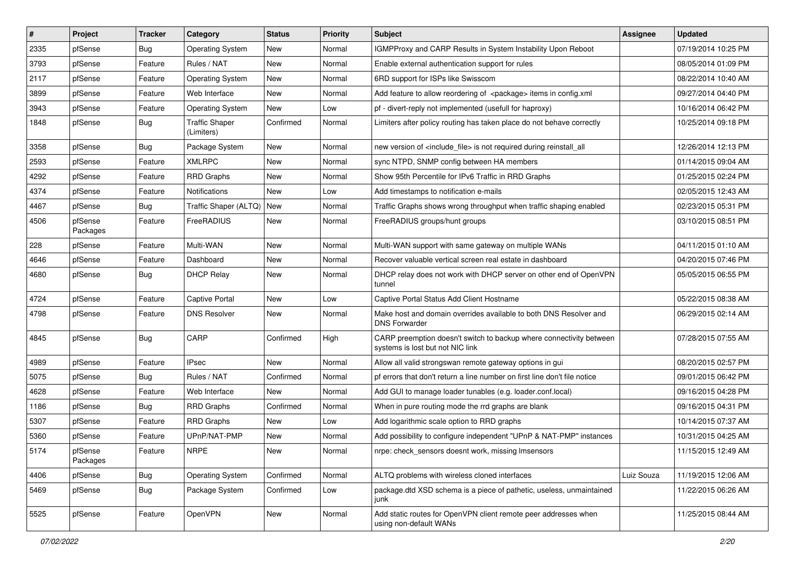| $\pmb{\sharp}$ | Project             | <b>Tracker</b> | Category                            | <b>Status</b> | <b>Priority</b> | <b>Subject</b>                                                                                          | <b>Assignee</b> | <b>Updated</b>      |
|----------------|---------------------|----------------|-------------------------------------|---------------|-----------------|---------------------------------------------------------------------------------------------------------|-----------------|---------------------|
| 2335           | pfSense             | Bug            | <b>Operating System</b>             | New           | Normal          | IGMPProxy and CARP Results in System Instability Upon Reboot                                            |                 | 07/19/2014 10:25 PM |
| 3793           | pfSense             | Feature        | Rules / NAT                         | New           | Normal          | Enable external authentication support for rules                                                        |                 | 08/05/2014 01:09 PM |
| 2117           | pfSense             | Feature        | <b>Operating System</b>             | New           | Normal          | 6RD support for ISPs like Swisscom                                                                      |                 | 08/22/2014 10:40 AM |
| 3899           | pfSense             | Feature        | Web Interface                       | New           | Normal          | Add feature to allow reordering of <package> items in config.xml</package>                              |                 | 09/27/2014 04:40 PM |
| 3943           | pfSense             | Feature        | <b>Operating System</b>             | New           | Low             | pf - divert-reply not implemented (usefull for haproxy)                                                 |                 | 10/16/2014 06:42 PM |
| 1848           | pfSense             | Bug            | <b>Traffic Shaper</b><br>(Limiters) | Confirmed     | Normal          | Limiters after policy routing has taken place do not behave correctly                                   |                 | 10/25/2014 09:18 PM |
| 3358           | pfSense             | Bug            | Package System                      | New           | Normal          | new version of <include file=""> is not required during reinstall all</include>                         |                 | 12/26/2014 12:13 PM |
| 2593           | pfSense             | Feature        | <b>XMLRPC</b>                       | New           | Normal          | sync NTPD, SNMP config between HA members                                                               |                 | 01/14/2015 09:04 AM |
| 4292           | pfSense             | Feature        | <b>RRD Graphs</b>                   | New           | Normal          | Show 95th Percentile for IPv6 Traffic in RRD Graphs                                                     |                 | 01/25/2015 02:24 PM |
| 4374           | pfSense             | Feature        | Notifications                       | New           | Low             | Add timestamps to notification e-mails                                                                  |                 | 02/05/2015 12:43 AM |
| 4467           | pfSense             | Bug            | Traffic Shaper (ALTQ)   New         |               | Normal          | Traffic Graphs shows wrong throughput when traffic shaping enabled                                      |                 | 02/23/2015 05:31 PM |
| 4506           | pfSense<br>Packages | Feature        | FreeRADIUS                          | New           | Normal          | FreeRADIUS groups/hunt groups                                                                           |                 | 03/10/2015 08:51 PM |
| 228            | pfSense             | Feature        | Multi-WAN                           | <b>New</b>    | Normal          | Multi-WAN support with same gateway on multiple WANs                                                    |                 | 04/11/2015 01:10 AM |
| 4646           | pfSense             | Feature        | Dashboard                           | <b>New</b>    | Normal          | Recover valuable vertical screen real estate in dashboard                                               |                 | 04/20/2015 07:46 PM |
| 4680           | pfSense             | Bug            | <b>DHCP Relay</b>                   | New           | Normal          | DHCP relay does not work with DHCP server on other end of OpenVPN<br>tunnel                             |                 | 05/05/2015 06:55 PM |
| 4724           | pfSense             | Feature        | Captive Portal                      | New           | Low             | Captive Portal Status Add Client Hostname                                                               |                 | 05/22/2015 08:38 AM |
| 4798           | pfSense             | Feature        | <b>DNS Resolver</b>                 | New           | Normal          | Make host and domain overrides available to both DNS Resolver and<br><b>DNS Forwarder</b>               |                 | 06/29/2015 02:14 AM |
| 4845           | pfSense             | Bug            | CARP                                | Confirmed     | High            | CARP preemption doesn't switch to backup where connectivity between<br>systems is lost but not NIC link |                 | 07/28/2015 07:55 AM |
| 4989           | pfSense             | Feature        | <b>IPsec</b>                        | <b>New</b>    | Normal          | Allow all valid strongswan remote gateway options in gui                                                |                 | 08/20/2015 02:57 PM |
| 5075           | pfSense             | Bug            | Rules / NAT                         | Confirmed     | Normal          | pf errors that don't return a line number on first line don't file notice                               |                 | 09/01/2015 06:42 PM |
| 4628           | pfSense             | Feature        | Web Interface                       | New           | Normal          | Add GUI to manage loader tunables (e.g. loader.conf.local)                                              |                 | 09/16/2015 04:28 PM |
| 1186           | pfSense             | Bug            | <b>RRD Graphs</b>                   | Confirmed     | Normal          | When in pure routing mode the rrd graphs are blank                                                      |                 | 09/16/2015 04:31 PM |
| 5307           | pfSense             | Feature        | <b>RRD Graphs</b>                   | New           | Low             | Add logarithmic scale option to RRD graphs                                                              |                 | 10/14/2015 07:37 AM |
| 5360           | pfSense             | Feature        | UPnP/NAT-PMP                        | New           | Normal          | Add possibility to configure independent "UPnP & NAT-PMP" instances                                     |                 | 10/31/2015 04:25 AM |
| 5174           | pfSense<br>Packages | Feature        | <b>NRPE</b>                         | New           | Normal          | nrpe: check_sensors doesnt work, missing Imsensors                                                      |                 | 11/15/2015 12:49 AM |
| 4406           | pfSense             | Bug            | <b>Operating System</b>             | Confirmed     | Normal          | ALTQ problems with wireless cloned interfaces                                                           | Luiz Souza      | 11/19/2015 12:06 AM |
| 5469           | pfSense             | <b>Bug</b>     | Package System                      | Confirmed     | Low             | package.dtd XSD schema is a piece of pathetic, useless, unmaintained<br>junk                            |                 | 11/22/2015 06:26 AM |
| 5525           | pfSense             | Feature        | OpenVPN                             | New           | Normal          | Add static routes for OpenVPN client remote peer addresses when<br>using non-default WANs               |                 | 11/25/2015 08:44 AM |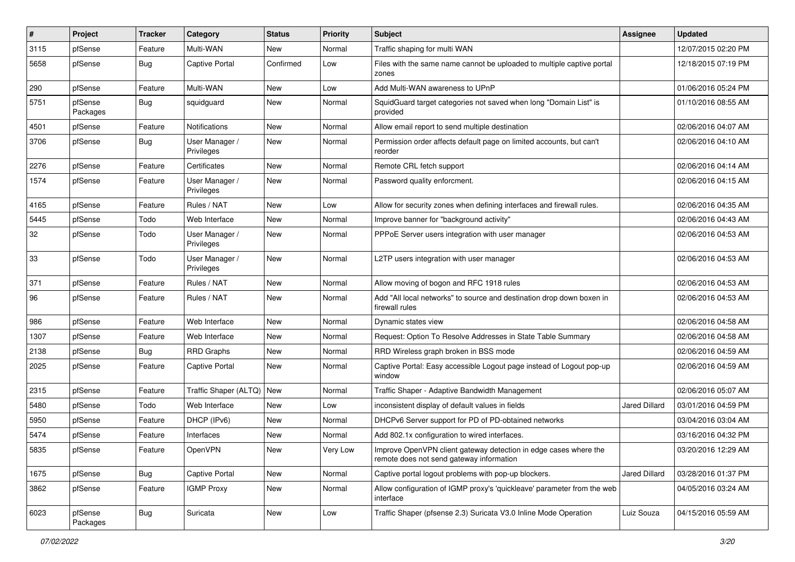| ∦    | Project             | <b>Tracker</b> | Category                     | <b>Status</b> | <b>Priority</b> | <b>Subject</b>                                                                                               | <b>Assignee</b>      | <b>Updated</b>      |
|------|---------------------|----------------|------------------------------|---------------|-----------------|--------------------------------------------------------------------------------------------------------------|----------------------|---------------------|
| 3115 | pfSense             | Feature        | Multi-WAN                    | New           | Normal          | Traffic shaping for multi WAN                                                                                |                      | 12/07/2015 02:20 PM |
| 5658 | pfSense             | <b>Bug</b>     | <b>Captive Portal</b>        | Confirmed     | Low             | Files with the same name cannot be uploaded to multiple captive portal<br>zones                              |                      | 12/18/2015 07:19 PM |
| 290  | pfSense             | Feature        | Multi-WAN                    | New           | Low             | Add Multi-WAN awareness to UPnP                                                                              |                      | 01/06/2016 05:24 PM |
| 5751 | pfSense<br>Packages | Bug            | squidguard                   | New           | Normal          | SquidGuard target categories not saved when long "Domain List" is<br>provided                                |                      | 01/10/2016 08:55 AM |
| 4501 | pfSense             | Feature        | Notifications                | New           | Normal          | Allow email report to send multiple destination                                                              |                      | 02/06/2016 04:07 AM |
| 3706 | pfSense             | Bug            | User Manager /<br>Privileges | New           | Normal          | Permission order affects default page on limited accounts, but can't<br>reorder                              |                      | 02/06/2016 04:10 AM |
| 2276 | pfSense             | Feature        | Certificates                 | <b>New</b>    | Normal          | Remote CRL fetch support                                                                                     |                      | 02/06/2016 04:14 AM |
| 1574 | pfSense             | Feature        | User Manager /<br>Privileges | New           | Normal          | Password quality enforcment.                                                                                 |                      | 02/06/2016 04:15 AM |
| 4165 | pfSense             | Feature        | Rules / NAT                  | New           | Low             | Allow for security zones when defining interfaces and firewall rules.                                        |                      | 02/06/2016 04:35 AM |
| 5445 | pfSense             | Todo           | Web Interface                | New           | Normal          | Improve banner for "background activity"                                                                     |                      | 02/06/2016 04:43 AM |
| 32   | pfSense             | Todo           | User Manager /<br>Privileges | New           | Normal          | PPPoE Server users integration with user manager                                                             |                      | 02/06/2016 04:53 AM |
| 33   | pfSense             | Todo           | User Manager /<br>Privileges | New           | Normal          | L2TP users integration with user manager                                                                     |                      | 02/06/2016 04:53 AM |
| 371  | pfSense             | Feature        | Rules / NAT                  | New           | Normal          | Allow moving of bogon and RFC 1918 rules                                                                     |                      | 02/06/2016 04:53 AM |
| 96   | pfSense             | Feature        | Rules / NAT                  | New           | Normal          | Add "All local networks" to source and destination drop down boxen in<br>firewall rules                      |                      | 02/06/2016 04:53 AM |
| 986  | pfSense             | Feature        | Web Interface                | New           | Normal          | Dynamic states view                                                                                          |                      | 02/06/2016 04:58 AM |
| 1307 | pfSense             | Feature        | Web Interface                | New           | Normal          | Request: Option To Resolve Addresses in State Table Summary                                                  |                      | 02/06/2016 04:58 AM |
| 2138 | pfSense             | <b>Bug</b>     | <b>RRD Graphs</b>            | New           | Normal          | RRD Wireless graph broken in BSS mode                                                                        |                      | 02/06/2016 04:59 AM |
| 2025 | pfSense             | Feature        | <b>Captive Portal</b>        | New           | Normal          | Captive Portal: Easy accessible Logout page instead of Logout pop-up<br>window                               |                      | 02/06/2016 04:59 AM |
| 2315 | pfSense             | Feature        | Traffic Shaper (ALTQ)   New  |               | Normal          | Traffic Shaper - Adaptive Bandwidth Management                                                               |                      | 02/06/2016 05:07 AM |
| 5480 | pfSense             | Todo           | Web Interface                | New           | Low             | inconsistent display of default values in fields                                                             | Jared Dillard        | 03/01/2016 04:59 PM |
| 5950 | pfSense             | Feature        | DHCP (IPv6)                  | New           | Normal          | DHCPv6 Server support for PD of PD-obtained networks                                                         |                      | 03/04/2016 03:04 AM |
| 5474 | pfSense             | Feature        | Interfaces                   | New           | Normal          | Add 802.1x configuration to wired interfaces.                                                                |                      | 03/16/2016 04:32 PM |
| 5835 | pfSense             | Feature        | OpenVPN                      | New           | Very Low        | Improve OpenVPN client gateway detection in edge cases where the<br>remote does not send gateway information |                      | 03/20/2016 12:29 AM |
| 1675 | pfSense             | Bug            | Captive Portal               | New           | Normal          | Captive portal logout problems with pop-up blockers.                                                         | <b>Jared Dillard</b> | 03/28/2016 01:37 PM |
| 3862 | pfSense             | Feature        | <b>IGMP Proxy</b>            | New           | Normal          | Allow configuration of IGMP proxy's 'quickleave' parameter from the web<br>interface                         |                      | 04/05/2016 03:24 AM |
| 6023 | pfSense<br>Packages | <b>Bug</b>     | Suricata                     | New           | Low             | Traffic Shaper (pfsense 2.3) Suricata V3.0 Inline Mode Operation                                             | Luiz Souza           | 04/15/2016 05:59 AM |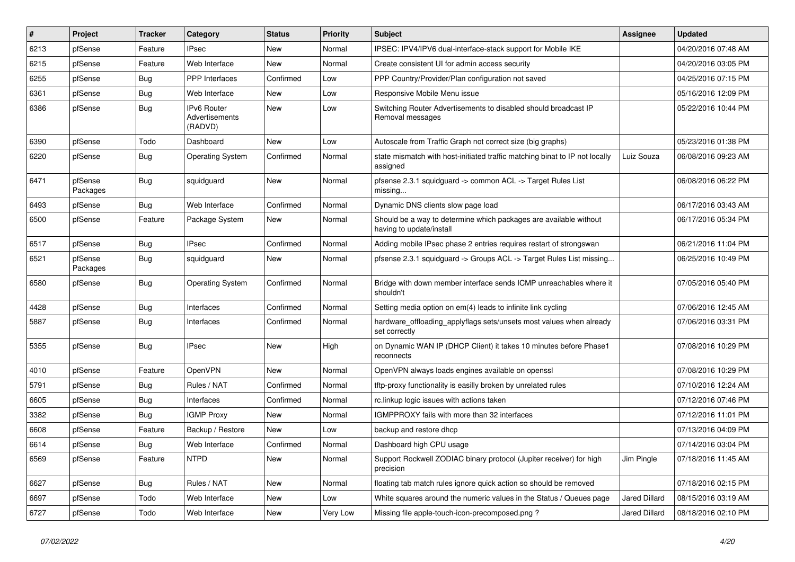| $\vert$ # | Project             | <b>Tracker</b> | Category                                        | <b>Status</b> | <b>Priority</b> | <b>Subject</b>                                                                                | Assignee             | <b>Updated</b>      |
|-----------|---------------------|----------------|-------------------------------------------------|---------------|-----------------|-----------------------------------------------------------------------------------------------|----------------------|---------------------|
| 6213      | pfSense             | Feature        | Psec                                            | New           | Normal          | IPSEC: IPV4/IPV6 dual-interface-stack support for Mobile IKE                                  |                      | 04/20/2016 07:48 AM |
| 6215      | pfSense             | Feature        | Web Interface                                   | <b>New</b>    | Normal          | Create consistent UI for admin access security                                                |                      | 04/20/2016 03:05 PM |
| 6255      | pfSense             | <b>Bug</b>     | <b>PPP</b> Interfaces                           | Confirmed     | Low             | PPP Country/Provider/Plan configuration not saved                                             |                      | 04/25/2016 07:15 PM |
| 6361      | pfSense             | Bug            | Web Interface                                   | New           | Low             | Responsive Mobile Menu issue                                                                  |                      | 05/16/2016 12:09 PM |
| 6386      | pfSense             | Bug            | <b>IPv6 Router</b><br>Advertisements<br>(RADVD) | New           | Low             | Switching Router Advertisements to disabled should broadcast IP<br>Removal messages           |                      | 05/22/2016 10:44 PM |
| 6390      | pfSense             | Todo           | Dashboard                                       | <b>New</b>    | Low             | Autoscale from Traffic Graph not correct size (big graphs)                                    |                      | 05/23/2016 01:38 PM |
| 6220      | pfSense             | <b>Bug</b>     | <b>Operating System</b>                         | Confirmed     | Normal          | state mismatch with host-initiated traffic matching binat to IP not locally<br>assigned       | Luiz Souza           | 06/08/2016 09:23 AM |
| 6471      | pfSense<br>Packages | Bug            | squidguard                                      | New           | Normal          | pfsense 2.3.1 squidguard -> common ACL -> Target Rules List<br>missing                        |                      | 06/08/2016 06:22 PM |
| 6493      | pfSense             | Bug            | Web Interface                                   | Confirmed     | Normal          | Dynamic DNS clients slow page load                                                            |                      | 06/17/2016 03:43 AM |
| 6500      | pfSense             | Feature        | Package System                                  | New           | Normal          | Should be a way to determine which packages are available without<br>having to update/install |                      | 06/17/2016 05:34 PM |
| 6517      | pfSense             | Bug            | <b>IPsec</b>                                    | Confirmed     | Normal          | Adding mobile IPsec phase 2 entries requires restart of strongswan                            |                      | 06/21/2016 11:04 PM |
| 6521      | pfSense<br>Packages | Bug            | squidguard                                      | New           | Normal          | pfsense 2.3.1 squidguard -> Groups ACL -> Target Rules List missing                           |                      | 06/25/2016 10:49 PM |
| 6580      | pfSense             | Bug            | <b>Operating System</b>                         | Confirmed     | Normal          | Bridge with down member interface sends ICMP unreachables where it<br>shouldn't               |                      | 07/05/2016 05:40 PM |
| 4428      | pfSense             | Bug            | Interfaces                                      | Confirmed     | Normal          | Setting media option on em(4) leads to infinite link cycling                                  |                      | 07/06/2016 12:45 AM |
| 5887      | pfSense             | Bug            | Interfaces                                      | Confirmed     | Normal          | hardware_offloading_applyflags sets/unsets most values when already<br>set correctly          |                      | 07/06/2016 03:31 PM |
| 5355      | pfSense             | Bug            | <b>IPsec</b>                                    | <b>New</b>    | High            | on Dynamic WAN IP (DHCP Client) it takes 10 minutes before Phase1<br>reconnects               |                      | 07/08/2016 10:29 PM |
| 4010      | pfSense             | Feature        | OpenVPN                                         | New           | Normal          | OpenVPN always loads engines available on openssl                                             |                      | 07/08/2016 10:29 PM |
| 5791      | pfSense             | Bug            | Rules / NAT                                     | Confirmed     | Normal          | tftp-proxy functionality is easilly broken by unrelated rules                                 |                      | 07/10/2016 12:24 AM |
| 6605      | pfSense             | Bug            | Interfaces                                      | Confirmed     | Normal          | rc.linkup logic issues with actions taken                                                     |                      | 07/12/2016 07:46 PM |
| 3382      | pfSense             | <b>Bug</b>     | <b>IGMP Proxy</b>                               | New           | Normal          | IGMPPROXY fails with more than 32 interfaces                                                  |                      | 07/12/2016 11:01 PM |
| 6608      | pfSense             | Feature        | Backup / Restore                                | New           | Low             | backup and restore dhcp                                                                       |                      | 07/13/2016 04:09 PM |
| 6614      | pfSense             | <b>Bug</b>     | Web Interface                                   | Confirmed     | Normal          | Dashboard high CPU usage                                                                      |                      | 07/14/2016 03:04 PM |
| 6569      | pfSense             | Feature        | <b>NTPD</b>                                     | New           | Normal          | Support Rockwell ZODIAC binary protocol (Jupiter receiver) for high<br>precision              | Jim Pingle           | 07/18/2016 11:45 AM |
| 6627      | pfSense             | <b>Bug</b>     | Rules / NAT                                     | New           | Normal          | floating tab match rules ignore quick action so should be removed                             |                      | 07/18/2016 02:15 PM |
| 6697      | pfSense             | Todo           | Web Interface                                   | New           | Low             | White squares around the numeric values in the Status / Queues page                           | <b>Jared Dillard</b> | 08/15/2016 03:19 AM |
| 6727      | pfSense             | Todo           | Web Interface                                   | New           | Very Low        | Missing file apple-touch-icon-precomposed.png?                                                | Jared Dillard        | 08/18/2016 02:10 PM |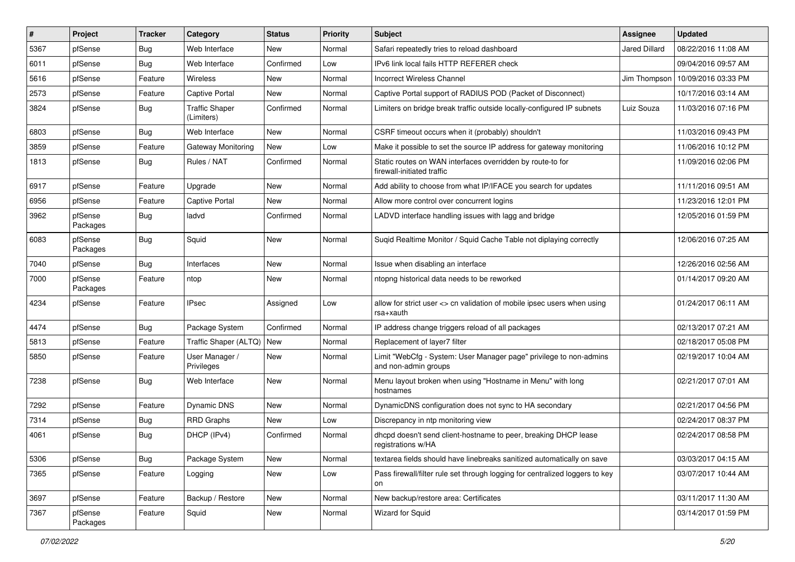| $\vert$ # | Project             | <b>Tracker</b> | Category                            | <b>Status</b> | Priority | Subject                                                                                    | Assignee             | <b>Updated</b>      |
|-----------|---------------------|----------------|-------------------------------------|---------------|----------|--------------------------------------------------------------------------------------------|----------------------|---------------------|
| 5367      | pfSense             | <b>Bug</b>     | Web Interface                       | New           | Normal   | Safari repeatedly tries to reload dashboard                                                | <b>Jared Dillard</b> | 08/22/2016 11:08 AM |
| 6011      | pfSense             | Bug            | Web Interface                       | Confirmed     | Low      | IPv6 link local fails HTTP REFERER check                                                   |                      | 09/04/2016 09:57 AM |
| 5616      | pfSense             | Feature        | <b>Wireless</b>                     | New           | Normal   | <b>Incorrect Wireless Channel</b>                                                          | Jim Thompson         | 10/09/2016 03:33 PM |
| 2573      | pfSense             | Feature        | Captive Portal                      | New           | Normal   | Captive Portal support of RADIUS POD (Packet of Disconnect)                                |                      | 10/17/2016 03:14 AM |
| 3824      | pfSense             | <b>Bug</b>     | <b>Traffic Shaper</b><br>(Limiters) | Confirmed     | Normal   | Limiters on bridge break traffic outside locally-configured IP subnets                     | Luiz Souza           | 11/03/2016 07:16 PM |
| 6803      | pfSense             | Bug            | Web Interface                       | New           | Normal   | CSRF timeout occurs when it (probably) shouldn't                                           |                      | 11/03/2016 09:43 PM |
| 3859      | pfSense             | Feature        | <b>Gateway Monitoring</b>           | New           | Low      | Make it possible to set the source IP address for gateway monitoring                       |                      | 11/06/2016 10:12 PM |
| 1813      | pfSense             | Bug            | Rules / NAT                         | Confirmed     | Normal   | Static routes on WAN interfaces overridden by route-to for<br>firewall-initiated traffic   |                      | 11/09/2016 02:06 PM |
| 6917      | pfSense             | Feature        | Upgrade                             | New           | Normal   | Add ability to choose from what IP/IFACE you search for updates                            |                      | 11/11/2016 09:51 AM |
| 6956      | pfSense             | Feature        | Captive Portal                      | New           | Normal   | Allow more control over concurrent logins                                                  |                      | 11/23/2016 12:01 PM |
| 3962      | pfSense<br>Packages | Bug            | ladvd                               | Confirmed     | Normal   | LADVD interface handling issues with lagg and bridge                                       |                      | 12/05/2016 01:59 PM |
| 6083      | pfSense<br>Packages | Bug            | Squid                               | New           | Normal   | Sugid Realtime Monitor / Squid Cache Table not diplaying correctly                         |                      | 12/06/2016 07:25 AM |
| 7040      | pfSense             | Bug            | Interfaces                          | New           | Normal   | Issue when disabling an interface                                                          |                      | 12/26/2016 02:56 AM |
| 7000      | pfSense<br>Packages | Feature        | ntop                                | New           | Normal   | ntopng historical data needs to be reworked                                                |                      | 01/14/2017 09:20 AM |
| 4234      | pfSense             | Feature        | IPsec                               | Assigned      | Low      | allow for strict user <> cn validation of mobile ipsec users when using<br>rsa+xauth       |                      | 01/24/2017 06:11 AM |
| 4474      | pfSense             | <b>Bug</b>     | Package System                      | Confirmed     | Normal   | IP address change triggers reload of all packages                                          |                      | 02/13/2017 07:21 AM |
| 5813      | pfSense             | Feature        | Traffic Shaper (ALTQ)   New         |               | Normal   | Replacement of layer7 filter                                                               |                      | 02/18/2017 05:08 PM |
| 5850      | pfSense             | Feature        | User Manager /<br>Privileges        | New           | Normal   | Limit "WebCfg - System: User Manager page" privilege to non-admins<br>and non-admin groups |                      | 02/19/2017 10:04 AM |
| 7238      | pfSense             | Bug            | Web Interface                       | New           | Normal   | Menu layout broken when using "Hostname in Menu" with long<br>hostnames                    |                      | 02/21/2017 07:01 AM |
| 7292      | pfSense             | Feature        | Dynamic DNS                         | New           | Normal   | DynamicDNS configuration does not sync to HA secondary                                     |                      | 02/21/2017 04:56 PM |
| 7314      | pfSense             | <b>Bug</b>     | <b>RRD Graphs</b>                   | New           | Low      | Discrepancy in ntp monitoring view                                                         |                      | 02/24/2017 08:37 PM |
| 4061      | pfSense             | Bug            | DHCP (IPv4)                         | Confirmed     | Normal   | dhcpd doesn't send client-hostname to peer, breaking DHCP lease<br>registrations w/HA      |                      | 02/24/2017 08:58 PM |
| 5306      | pfSense             | <b>Bug</b>     | Package System                      | New           | Normal   | textarea fields should have linebreaks sanitized automatically on save                     |                      | 03/03/2017 04:15 AM |
| 7365      | pfSense             | Feature        | Logging                             | New           | Low      | Pass firewall/filter rule set through logging for centralized loggers to key<br>on         |                      | 03/07/2017 10:44 AM |
| 3697      | pfSense             | Feature        | Backup / Restore                    | New           | Normal   | New backup/restore area: Certificates                                                      |                      | 03/11/2017 11:30 AM |
| 7367      | pfSense<br>Packages | Feature        | Squid                               | New           | Normal   | Wizard for Squid                                                                           |                      | 03/14/2017 01:59 PM |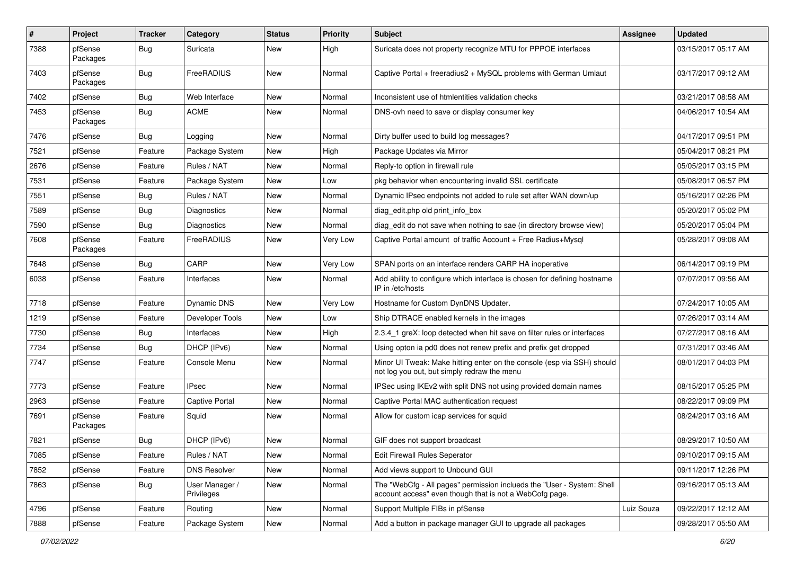| #    | Project             | <b>Tracker</b> | Category                     | <b>Status</b> | <b>Priority</b> | <b>Subject</b>                                                                                                                    | <b>Assignee</b> | <b>Updated</b>      |
|------|---------------------|----------------|------------------------------|---------------|-----------------|-----------------------------------------------------------------------------------------------------------------------------------|-----------------|---------------------|
| 7388 | pfSense<br>Packages | Bug            | Suricata                     | <b>New</b>    | High            | Suricata does not property recognize MTU for PPPOE interfaces                                                                     |                 | 03/15/2017 05:17 AM |
| 7403 | pfSense<br>Packages | Bug            | FreeRADIUS                   | <b>New</b>    | Normal          | Captive Portal + freeradius2 + MySQL problems with German Umlaut                                                                  |                 | 03/17/2017 09:12 AM |
| 7402 | pfSense             | Bug            | Web Interface                | New           | Normal          | Inconsistent use of htmlentities validation checks                                                                                |                 | 03/21/2017 08:58 AM |
| 7453 | pfSense<br>Packages | Bug            | <b>ACME</b>                  | New           | Normal          | DNS-ovh need to save or display consumer key                                                                                      |                 | 04/06/2017 10:54 AM |
| 7476 | pfSense             | Bug            | Logging                      | New           | Normal          | Dirty buffer used to build log messages?                                                                                          |                 | 04/17/2017 09:51 PM |
| 7521 | pfSense             | Feature        | Package System               | New           | High            | Package Updates via Mirror                                                                                                        |                 | 05/04/2017 08:21 PM |
| 2676 | pfSense             | Feature        | Rules / NAT                  | New           | Normal          | Reply-to option in firewall rule                                                                                                  |                 | 05/05/2017 03:15 PM |
| 7531 | pfSense             | Feature        | Package System               | New           | Low             | pkg behavior when encountering invalid SSL certificate                                                                            |                 | 05/08/2017 06:57 PM |
| 7551 | pfSense             | <b>Bug</b>     | Rules / NAT                  | New           | Normal          | Dynamic IPsec endpoints not added to rule set after WAN down/up                                                                   |                 | 05/16/2017 02:26 PM |
| 7589 | pfSense             | Bug            | <b>Diagnostics</b>           | <b>New</b>    | Normal          | diag edit.php old print info box                                                                                                  |                 | 05/20/2017 05:02 PM |
| 7590 | pfSense             | Bug            | Diagnostics                  | New           | Normal          | diag edit do not save when nothing to sae (in directory browse view)                                                              |                 | 05/20/2017 05:04 PM |
| 7608 | pfSense<br>Packages | Feature        | FreeRADIUS                   | New           | Very Low        | Captive Portal amount of traffic Account + Free Radius+Mysql                                                                      |                 | 05/28/2017 09:08 AM |
| 7648 | pfSense             | Bug            | CARP                         | <b>New</b>    | Very Low        | SPAN ports on an interface renders CARP HA inoperative                                                                            |                 | 06/14/2017 09:19 PM |
| 6038 | pfSense             | Feature        | Interfaces                   | New           | Normal          | Add ability to configure which interface is chosen for defining hostname<br>IP in /etc/hosts                                      |                 | 07/07/2017 09:56 AM |
| 7718 | pfSense             | Feature        | Dynamic DNS                  | New           | Very Low        | Hostname for Custom DynDNS Updater.                                                                                               |                 | 07/24/2017 10:05 AM |
| 1219 | pfSense             | Feature        | Developer Tools              | <b>New</b>    | Low             | Ship DTRACE enabled kernels in the images                                                                                         |                 | 07/26/2017 03:14 AM |
| 7730 | pfSense             | Bug            | Interfaces                   | New           | High            | 2.3.4 1 greX: loop detected when hit save on filter rules or interfaces                                                           |                 | 07/27/2017 08:16 AM |
| 7734 | pfSense             | Bug            | DHCP (IPv6)                  | New           | Normal          | Using opton ia pd0 does not renew prefix and prefix get dropped                                                                   |                 | 07/31/2017 03:46 AM |
| 7747 | pfSense             | Feature        | Console Menu                 | New           | Normal          | Minor UI Tweak: Make hitting enter on the console (esp via SSH) should<br>not log you out, but simply redraw the menu             |                 | 08/01/2017 04:03 PM |
| 7773 | pfSense             | Feature        | <b>IPsec</b>                 | New           | Normal          | IPSec using IKEv2 with split DNS not using provided domain names                                                                  |                 | 08/15/2017 05:25 PM |
| 2963 | pfSense             | Feature        | Captive Portal               | New           | Normal          | Captive Portal MAC authentication request                                                                                         |                 | 08/22/2017 09:09 PM |
| 7691 | pfSense<br>Packages | Feature        | Squid                        | New           | Normal          | Allow for custom icap services for squid                                                                                          |                 | 08/24/2017 03:16 AM |
| 7821 | pfSense             | Bug            | DHCP (IPv6)                  | New           | Normal          | GIF does not support broadcast                                                                                                    |                 | 08/29/2017 10:50 AM |
| 7085 | pfSense             | Feature        | Rules / NAT                  | New           | Normal          | Edit Firewall Rules Seperator                                                                                                     |                 | 09/10/2017 09:15 AM |
| 7852 | pfSense             | Feature        | <b>DNS Resolver</b>          | New           | Normal          | Add views support to Unbound GUI                                                                                                  |                 | 09/11/2017 12:26 PM |
| 7863 | pfSense             | <b>Bug</b>     | User Manager /<br>Privileges | New           | Normal          | The "WebCfg - All pages" permission inclueds the "User - System: Shell<br>account access" even though that is not a WebCofg page. |                 | 09/16/2017 05:13 AM |
| 4796 | pfSense             | Feature        | Routing                      | New           | Normal          | Support Multiple FIBs in pfSense                                                                                                  | Luiz Souza      | 09/22/2017 12:12 AM |
| 7888 | pfSense             | Feature        | Package System               | New           | Normal          | Add a button in package manager GUI to upgrade all packages                                                                       |                 | 09/28/2017 05:50 AM |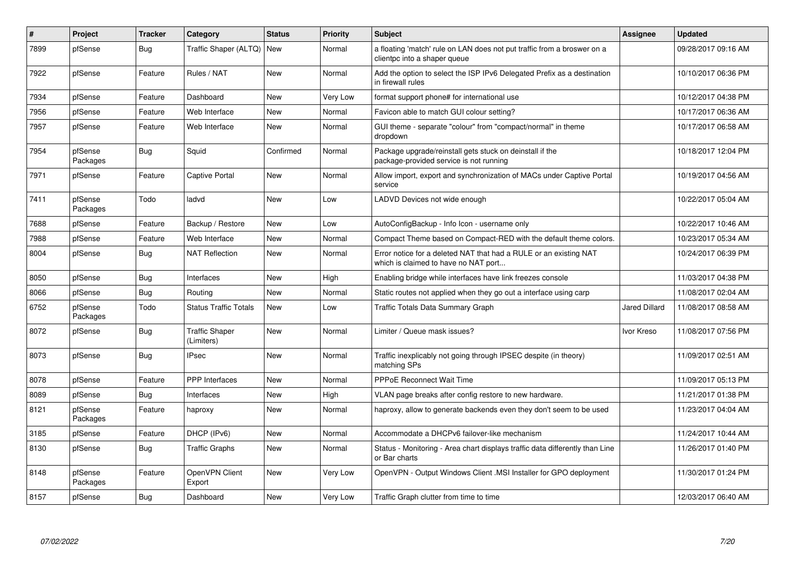| ∦    | Project             | <b>Tracker</b> | Category                            | <b>Status</b> | <b>Priority</b> | Subject                                                                                                   | <b>Assignee</b>      | <b>Updated</b>      |
|------|---------------------|----------------|-------------------------------------|---------------|-----------------|-----------------------------------------------------------------------------------------------------------|----------------------|---------------------|
| 7899 | pfSense             | Bug            | Traffic Shaper (ALTQ)               | <b>New</b>    | Normal          | a floating 'match' rule on LAN does not put traffic from a broswer on a<br>clientpc into a shaper queue   |                      | 09/28/2017 09:16 AM |
| 7922 | pfSense             | Feature        | Rules / NAT                         | <b>New</b>    | Normal          | Add the option to select the ISP IPv6 Delegated Prefix as a destination<br>in firewall rules              |                      | 10/10/2017 06:36 PM |
| 7934 | pfSense             | Feature        | Dashboard                           | New           | <b>Very Low</b> | format support phone# for international use                                                               |                      | 10/12/2017 04:38 PM |
| 7956 | pfSense             | Feature        | Web Interface                       | New           | Normal          | Favicon able to match GUI colour setting?                                                                 |                      | 10/17/2017 06:36 AM |
| 7957 | pfSense             | Feature        | Web Interface                       | New           | Normal          | GUI theme - separate "colour" from "compact/normal" in theme<br>dropdown                                  |                      | 10/17/2017 06:58 AM |
| 7954 | pfSense<br>Packages | Bug            | Squid                               | Confirmed     | Normal          | Package upgrade/reinstall gets stuck on deinstall if the<br>package-provided service is not running       |                      | 10/18/2017 12:04 PM |
| 7971 | pfSense             | Feature        | <b>Captive Portal</b>               | New           | Normal          | Allow import, export and synchronization of MACs under Captive Portal<br>service                          |                      | 10/19/2017 04:56 AM |
| 7411 | pfSense<br>Packages | Todo           | ladvd                               | <b>New</b>    | Low             | LADVD Devices not wide enough                                                                             |                      | 10/22/2017 05:04 AM |
| 7688 | pfSense             | Feature        | Backup / Restore                    | <b>New</b>    | Low             | AutoConfigBackup - Info Icon - username only                                                              |                      | 10/22/2017 10:46 AM |
| 7988 | pfSense             | Feature        | Web Interface                       | New           | Normal          | Compact Theme based on Compact-RED with the default theme colors.                                         |                      | 10/23/2017 05:34 AM |
| 8004 | pfSense             | Bug            | <b>NAT Reflection</b>               | <b>New</b>    | Normal          | Error notice for a deleted NAT that had a RULE or an existing NAT<br>which is claimed to have no NAT port |                      | 10/24/2017 06:39 PM |
| 8050 | pfSense             | Bug            | Interfaces                          | <b>New</b>    | High            | Enabling bridge while interfaces have link freezes console                                                |                      | 11/03/2017 04:38 PM |
| 8066 | pfSense             | Bug            | Routing                             | <b>New</b>    | Normal          | Static routes not applied when they go out a interface using carp                                         |                      | 11/08/2017 02:04 AM |
| 6752 | pfSense<br>Packages | Todo           | <b>Status Traffic Totals</b>        | New           | Low             | Traffic Totals Data Summary Graph                                                                         | <b>Jared Dillard</b> | 11/08/2017 08:58 AM |
| 8072 | pfSense             | Bug            | <b>Traffic Shaper</b><br>(Limiters) | New           | Normal          | Limiter / Queue mask issues?                                                                              | Ivor Kreso           | 11/08/2017 07:56 PM |
| 8073 | pfSense             | Bug            | <b>IPsec</b>                        | New           | Normal          | Traffic inexplicably not going through IPSEC despite (in theory)<br>matching SPs                          |                      | 11/09/2017 02:51 AM |
| 8078 | pfSense             | Feature        | <b>PPP</b> Interfaces               | New           | Normal          | <b>PPPoE Reconnect Wait Time</b>                                                                          |                      | 11/09/2017 05:13 PM |
| 8089 | pfSense             | Bug            | Interfaces                          | <b>New</b>    | High            | VLAN page breaks after config restore to new hardware.                                                    |                      | 11/21/2017 01:38 PM |
| 8121 | pfSense<br>Packages | Feature        | haproxy                             | New           | Normal          | haproxy, allow to generate backends even they don't seem to be used                                       |                      | 11/23/2017 04:04 AM |
| 3185 | pfSense             | Feature        | DHCP (IPv6)                         | <b>New</b>    | Normal          | Accommodate a DHCPv6 failover-like mechanism                                                              |                      | 11/24/2017 10:44 AM |
| 8130 | pfSense             | <b>Bug</b>     | <b>Traffic Graphs</b>               | New           | Normal          | Status - Monitoring - Area chart displays traffic data differently than Line<br>or Bar charts             |                      | 11/26/2017 01:40 PM |
| 8148 | pfSense<br>Packages | Feature        | OpenVPN Client<br>Export            | <b>New</b>    | Very Low        | OpenVPN - Output Windows Client .MSI Installer for GPO deployment                                         |                      | 11/30/2017 01:24 PM |
| 8157 | pfSense             | <b>Bug</b>     | Dashboard                           | <b>New</b>    | <b>Very Low</b> | Traffic Graph clutter from time to time                                                                   |                      | 12/03/2017 06:40 AM |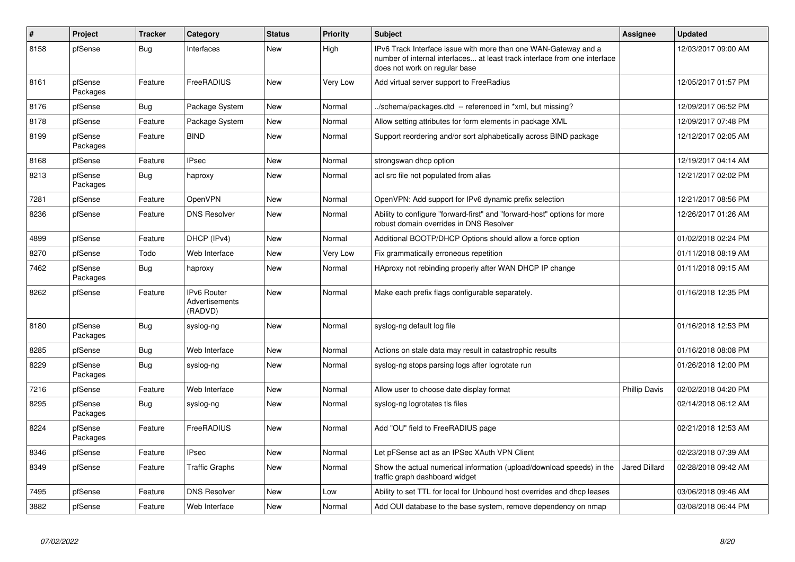| #    | Project             | <b>Tracker</b> | Category                                 | <b>Status</b> | <b>Priority</b> | <b>Subject</b>                                                                                                                                                                | Assignee             | <b>Updated</b>      |
|------|---------------------|----------------|------------------------------------------|---------------|-----------------|-------------------------------------------------------------------------------------------------------------------------------------------------------------------------------|----------------------|---------------------|
| 8158 | pfSense             | Bug            | Interfaces                               | <b>New</b>    | High            | IPv6 Track Interface issue with more than one WAN-Gateway and a<br>number of internal interfaces at least track interface from one interface<br>does not work on regular base |                      | 12/03/2017 09:00 AM |
| 8161 | pfSense<br>Packages | Feature        | FreeRADIUS                               | New           | Very Low        | Add virtual server support to FreeRadius                                                                                                                                      |                      | 12/05/2017 01:57 PM |
| 8176 | pfSense             | Bug            | Package System                           | New           | Normal          | ./schema/packages.dtd -- referenced in *xml, but missing?                                                                                                                     |                      | 12/09/2017 06:52 PM |
| 8178 | pfSense             | Feature        | Package System                           | <b>New</b>    | Normal          | Allow setting attributes for form elements in package XML                                                                                                                     |                      | 12/09/2017 07:48 PM |
| 8199 | pfSense<br>Packages | Feature        | <b>BIND</b>                              | New           | Normal          | Support reordering and/or sort alphabetically across BIND package                                                                                                             |                      | 12/12/2017 02:05 AM |
| 8168 | pfSense             | Feature        | <b>IPsec</b>                             | <b>New</b>    | Normal          | strongswan dhcp option                                                                                                                                                        |                      | 12/19/2017 04:14 AM |
| 8213 | pfSense<br>Packages | Bug            | haproxy                                  | New           | Normal          | acl src file not populated from alias                                                                                                                                         |                      | 12/21/2017 02:02 PM |
| 7281 | pfSense             | Feature        | OpenVPN                                  | <b>New</b>    | Normal          | OpenVPN: Add support for IPv6 dynamic prefix selection                                                                                                                        |                      | 12/21/2017 08:56 PM |
| 8236 | pfSense             | Feature        | <b>DNS Resolver</b>                      | <b>New</b>    | Normal          | Ability to configure "forward-first" and "forward-host" options for more<br>robust domain overrides in DNS Resolver                                                           |                      | 12/26/2017 01:26 AM |
| 4899 | pfSense             | Feature        | DHCP (IPv4)                              | <b>New</b>    | Normal          | Additional BOOTP/DHCP Options should allow a force option                                                                                                                     |                      | 01/02/2018 02:24 PM |
| 8270 | pfSense             | Todo           | Web Interface                            | New           | Very Low        | Fix grammatically erroneous repetition                                                                                                                                        |                      | 01/11/2018 08:19 AM |
| 7462 | pfSense<br>Packages | <b>Bug</b>     | haproxy                                  | New           | Normal          | HAproxy not rebinding properly after WAN DHCP IP change                                                                                                                       |                      | 01/11/2018 09:15 AM |
| 8262 | pfSense             | Feature        | IPv6 Router<br>Advertisements<br>(RADVD) | New           | Normal          | Make each prefix flags configurable separately.                                                                                                                               |                      | 01/16/2018 12:35 PM |
| 8180 | pfSense<br>Packages | Bug            | syslog-ng                                | <b>New</b>    | Normal          | syslog-ng default log file                                                                                                                                                    |                      | 01/16/2018 12:53 PM |
| 8285 | pfSense             | Bug            | Web Interface                            | New           | Normal          | Actions on stale data may result in catastrophic results                                                                                                                      |                      | 01/16/2018 08:08 PM |
| 8229 | pfSense<br>Packages | Bug            | syslog-ng                                | New           | Normal          | syslog-ng stops parsing logs after logrotate run                                                                                                                              |                      | 01/26/2018 12:00 PM |
| 7216 | pfSense             | Feature        | Web Interface                            | <b>New</b>    | Normal          | Allow user to choose date display format                                                                                                                                      | <b>Phillip Davis</b> | 02/02/2018 04:20 PM |
| 8295 | pfSense<br>Packages | <b>Bug</b>     | syslog-ng                                | <b>New</b>    | Normal          | syslog-ng logrotates tls files                                                                                                                                                |                      | 02/14/2018 06:12 AM |
| 8224 | pfSense<br>Packages | Feature        | FreeRADIUS                               | <b>New</b>    | Normal          | Add "OU" field to FreeRADIUS page                                                                                                                                             |                      | 02/21/2018 12:53 AM |
| 8346 | pfSense             | Feature        | <b>IPsec</b>                             | <b>New</b>    | Normal          | Let pFSense act as an IPSec XAuth VPN Client                                                                                                                                  |                      | 02/23/2018 07:39 AM |
| 8349 | pfSense             | Feature        | <b>Traffic Graphs</b>                    | New           | Normal          | Show the actual numerical information (upload/download speeds) in the<br>traffic graph dashboard widget                                                                       | <b>Jared Dillard</b> | 02/28/2018 09:42 AM |
| 7495 | pfSense             | Feature        | <b>DNS Resolver</b>                      | New           | Low             | Ability to set TTL for local for Unbound host overrides and dhcp leases                                                                                                       |                      | 03/06/2018 09:46 AM |
| 3882 | pfSense             | Feature        | Web Interface                            | New           | Normal          | Add OUI database to the base system, remove dependency on nmap                                                                                                                |                      | 03/08/2018 06:44 PM |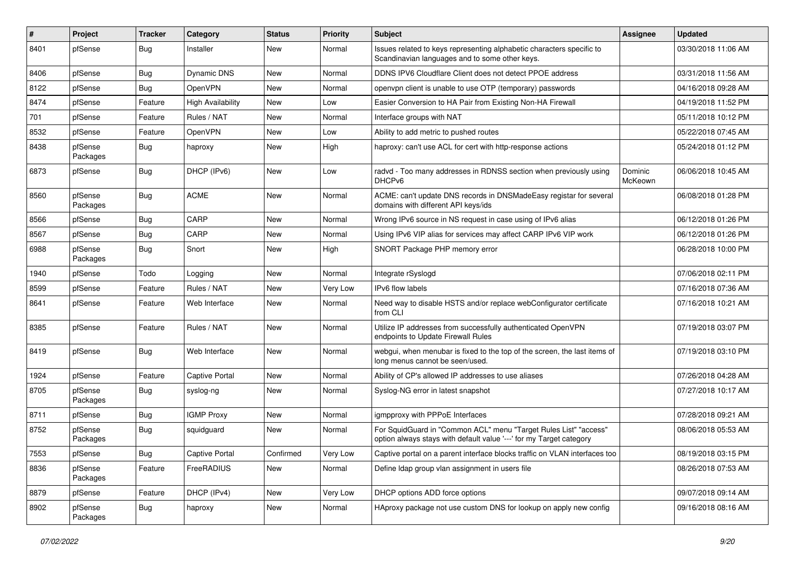| #    | Project             | <b>Tracker</b> | Category                 | <b>Status</b> | Priority | <b>Subject</b>                                                                                                                          | <b>Assignee</b>    | <b>Updated</b>      |
|------|---------------------|----------------|--------------------------|---------------|----------|-----------------------------------------------------------------------------------------------------------------------------------------|--------------------|---------------------|
| 8401 | pfSense             | Bug            | Installer                | New           | Normal   | Issues related to keys representing alphabetic characters specific to<br>Scandinavian languages and to some other keys.                 |                    | 03/30/2018 11:06 AM |
| 8406 | pfSense             | Bug            | Dynamic DNS              | New           | Normal   | DDNS IPV6 Cloudflare Client does not detect PPOE address                                                                                |                    | 03/31/2018 11:56 AM |
| 8122 | pfSense             | <b>Bug</b>     | OpenVPN                  | <b>New</b>    | Normal   | openypn client is unable to use OTP (temporary) passwords                                                                               |                    | 04/16/2018 09:28 AM |
| 8474 | pfSense             | Feature        | <b>High Availability</b> | New           | Low      | Easier Conversion to HA Pair from Existing Non-HA Firewall                                                                              |                    | 04/19/2018 11:52 PM |
| 701  | pfSense             | Feature        | Rules / NAT              | New           | Normal   | Interface groups with NAT                                                                                                               |                    | 05/11/2018 10:12 PM |
| 8532 | pfSense             | Feature        | OpenVPN                  | New           | Low      | Ability to add metric to pushed routes                                                                                                  |                    | 05/22/2018 07:45 AM |
| 8438 | pfSense<br>Packages | Bug            | haproxy                  | New           | High     | haproxy: can't use ACL for cert with http-response actions                                                                              |                    | 05/24/2018 01:12 PM |
| 6873 | pfSense             | Bug            | DHCP (IPv6)              | <b>New</b>    | Low      | radvd - Too many addresses in RDNSS section when previously using<br>DHCP <sub>v6</sub>                                                 | Dominic<br>McKeown | 06/06/2018 10:45 AM |
| 8560 | pfSense<br>Packages | Bug            | <b>ACME</b>              | <b>New</b>    | Normal   | ACME: can't update DNS records in DNSMadeEasy registar for several<br>domains with different API keys/ids                               |                    | 06/08/2018 01:28 PM |
| 8566 | pfSense             | <b>Bug</b>     | CARP                     | New           | Normal   | Wrong IPv6 source in NS request in case using of IPv6 alias                                                                             |                    | 06/12/2018 01:26 PM |
| 8567 | pfSense             | <b>Bug</b>     | CARP                     | New           | Normal   | Using IPv6 VIP alias for services may affect CARP IPv6 VIP work                                                                         |                    | 06/12/2018 01:26 PM |
| 6988 | pfSense<br>Packages | <b>Bug</b>     | Snort                    | New           | High     | SNORT Package PHP memory error                                                                                                          |                    | 06/28/2018 10:00 PM |
| 1940 | pfSense             | Todo           | Logging                  | <b>New</b>    | Normal   | Integrate rSyslogd                                                                                                                      |                    | 07/06/2018 02:11 PM |
| 8599 | pfSense             | Feature        | Rules / NAT              | New           | Very Low | IPv6 flow labels                                                                                                                        |                    | 07/16/2018 07:36 AM |
| 8641 | pfSense             | Feature        | Web Interface            | New           | Normal   | Need way to disable HSTS and/or replace webConfigurator certificate<br>from CLI                                                         |                    | 07/16/2018 10:21 AM |
| 8385 | pfSense             | Feature        | Rules / NAT              | New           | Normal   | Utilize IP addresses from successfully authenticated OpenVPN<br>endpoints to Update Firewall Rules                                      |                    | 07/19/2018 03:07 PM |
| 8419 | pfSense             | <b>Bug</b>     | Web Interface            | New           | Normal   | webgui, when menubar is fixed to the top of the screen, the last items of<br>long menus cannot be seen/used.                            |                    | 07/19/2018 03:10 PM |
| 1924 | pfSense             | Feature        | <b>Captive Portal</b>    | New           | Normal   | Ability of CP's allowed IP addresses to use aliases                                                                                     |                    | 07/26/2018 04:28 AM |
| 8705 | pfSense<br>Packages | Bug            | syslog-ng                | <b>New</b>    | Normal   | Syslog-NG error in latest snapshot                                                                                                      |                    | 07/27/2018 10:17 AM |
| 8711 | pfSense             | <b>Bug</b>     | <b>IGMP Proxy</b>        | <b>New</b>    | Normal   | igmpproxy with PPPoE Interfaces                                                                                                         |                    | 07/28/2018 09:21 AM |
| 8752 | pfSense<br>Packages | Bug            | squidguard               | New           | Normal   | For SquidGuard in "Common ACL" menu "Target Rules List" "access"<br>option always stays with default value '---' for my Target category |                    | 08/06/2018 05:53 AM |
| 7553 | pfSense             | <b>Bug</b>     | Captive Portal           | Confirmed     | Very Low | Captive portal on a parent interface blocks traffic on VLAN interfaces too                                                              |                    | 08/19/2018 03:15 PM |
| 8836 | pfSense<br>Packages | Feature        | FreeRADIUS               | New           | Normal   | Define Idap group vlan assignment in users file                                                                                         |                    | 08/26/2018 07:53 AM |
| 8879 | pfSense             | Feature        | DHCP (IPv4)              | New           | Very Low | DHCP options ADD force options                                                                                                          |                    | 09/07/2018 09:14 AM |
| 8902 | pfSense<br>Packages | Bug            | haproxy                  | New           | Normal   | HAproxy package not use custom DNS for lookup on apply new config                                                                       |                    | 09/16/2018 08:16 AM |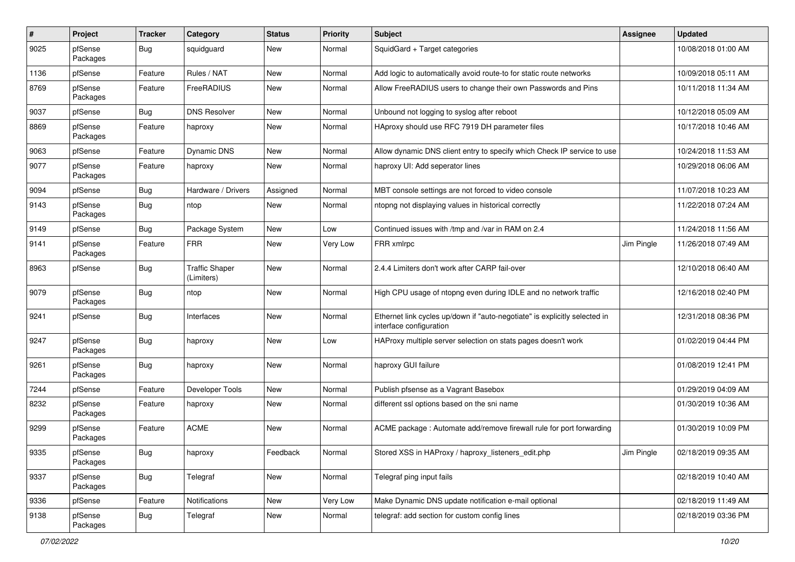| #    | Project             | <b>Tracker</b> | Category                            | <b>Status</b> | Priority | <b>Subject</b>                                                                                        | <b>Assignee</b> | <b>Updated</b>      |
|------|---------------------|----------------|-------------------------------------|---------------|----------|-------------------------------------------------------------------------------------------------------|-----------------|---------------------|
| 9025 | pfSense<br>Packages | <b>Bug</b>     | squidguard                          | New           | Normal   | SquidGard + Target categories                                                                         |                 | 10/08/2018 01:00 AM |
| 1136 | pfSense             | Feature        | Rules / NAT                         | <b>New</b>    | Normal   | Add logic to automatically avoid route-to for static route networks                                   |                 | 10/09/2018 05:11 AM |
| 8769 | pfSense<br>Packages | Feature        | FreeRADIUS                          | New           | Normal   | Allow FreeRADIUS users to change their own Passwords and Pins                                         |                 | 10/11/2018 11:34 AM |
| 9037 | pfSense             | Bug            | <b>DNS Resolver</b>                 | <b>New</b>    | Normal   | Unbound not logging to syslog after reboot                                                            |                 | 10/12/2018 05:09 AM |
| 8869 | pfSense<br>Packages | Feature        | haproxy                             | New           | Normal   | HAproxy should use RFC 7919 DH parameter files                                                        |                 | 10/17/2018 10:46 AM |
| 9063 | pfSense             | Feature        | <b>Dynamic DNS</b>                  | New           | Normal   | Allow dynamic DNS client entry to specify which Check IP service to use                               |                 | 10/24/2018 11:53 AM |
| 9077 | pfSense<br>Packages | Feature        | haproxy                             | New           | Normal   | haproxy UI: Add seperator lines                                                                       |                 | 10/29/2018 06:06 AM |
| 9094 | pfSense             | <b>Bug</b>     | Hardware / Drivers                  | Assigned      | Normal   | MBT console settings are not forced to video console                                                  |                 | 11/07/2018 10:23 AM |
| 9143 | pfSense<br>Packages | <b>Bug</b>     | ntop                                | New           | Normal   | ntopng not displaying values in historical correctly                                                  |                 | 11/22/2018 07:24 AM |
| 9149 | pfSense             | <b>Bug</b>     | Package System                      | <b>New</b>    | Low      | Continued issues with /tmp and /var in RAM on 2.4                                                     |                 | 11/24/2018 11:56 AM |
| 9141 | pfSense<br>Packages | Feature        | <b>FRR</b>                          | <b>New</b>    | Very Low | FRR xmlrpc                                                                                            | Jim Pingle      | 11/26/2018 07:49 AM |
| 8963 | pfSense             | <b>Bug</b>     | <b>Traffic Shaper</b><br>(Limiters) | <b>New</b>    | Normal   | 2.4.4 Limiters don't work after CARP fail-over                                                        |                 | 12/10/2018 06:40 AM |
| 9079 | pfSense<br>Packages | <b>Bug</b>     | ntop                                | <b>New</b>    | Normal   | High CPU usage of ntopng even during IDLE and no network traffic                                      |                 | 12/16/2018 02:40 PM |
| 9241 | pfSense             | Bug            | Interfaces                          | <b>New</b>    | Normal   | Ethernet link cycles up/down if "auto-negotiate" is explicitly selected in<br>interface configuration |                 | 12/31/2018 08:36 PM |
| 9247 | pfSense<br>Packages | <b>Bug</b>     | haproxy                             | <b>New</b>    | Low      | HAProxy multiple server selection on stats pages doesn't work                                         |                 | 01/02/2019 04:44 PM |
| 9261 | pfSense<br>Packages | Bug            | haproxy                             | New           | Normal   | haproxy GUI failure                                                                                   |                 | 01/08/2019 12:41 PM |
| 7244 | pfSense             | Feature        | Developer Tools                     | New           | Normal   | Publish pfsense as a Vagrant Basebox                                                                  |                 | 01/29/2019 04:09 AM |
| 8232 | pfSense<br>Packages | Feature        | haproxy                             | New           | Normal   | different ssl options based on the sni name                                                           |                 | 01/30/2019 10:36 AM |
| 9299 | pfSense<br>Packages | Feature        | <b>ACME</b>                         | <b>New</b>    | Normal   | ACME package: Automate add/remove firewall rule for port forwarding                                   |                 | 01/30/2019 10:09 PM |
| 9335 | pfSense<br>Packages | <b>Bug</b>     | haproxy                             | Feedback      | Normal   | Stored XSS in HAProxy / haproxy_listeners_edit.php                                                    | Jim Pingle      | 02/18/2019 09:35 AM |
| 9337 | pfSense<br>Packages | <b>Bug</b>     | Telegraf                            | New           | Normal   | Telegraf ping input fails                                                                             |                 | 02/18/2019 10:40 AM |
| 9336 | pfSense             | Feature        | Notifications                       | New           | Very Low | Make Dynamic DNS update notification e-mail optional                                                  |                 | 02/18/2019 11:49 AM |
| 9138 | pfSense<br>Packages | <b>Bug</b>     | Telegraf                            | New           | Normal   | telegraf: add section for custom config lines                                                         |                 | 02/18/2019 03:36 PM |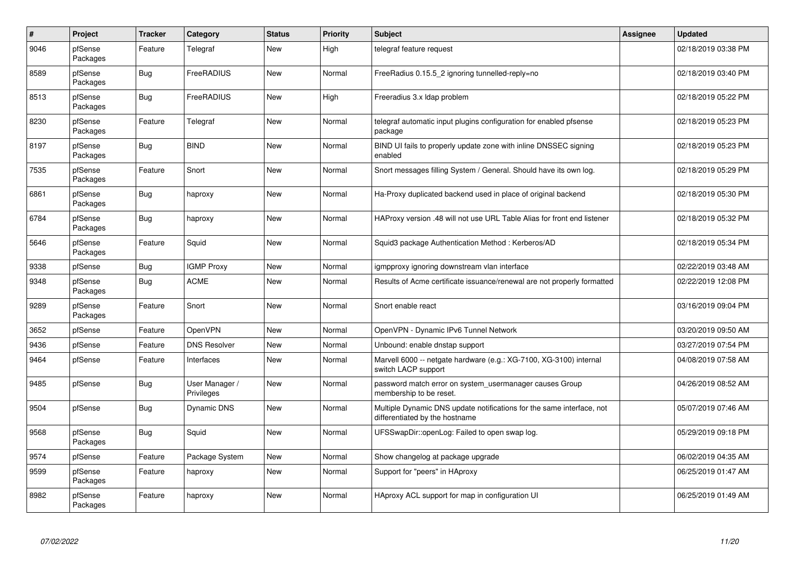| $\pmb{\#}$ | Project             | <b>Tracker</b> | Category                     | <b>Status</b> | <b>Priority</b> | <b>Subject</b>                                                                                          | <b>Assignee</b> | <b>Updated</b>      |
|------------|---------------------|----------------|------------------------------|---------------|-----------------|---------------------------------------------------------------------------------------------------------|-----------------|---------------------|
| 9046       | pfSense<br>Packages | Feature        | Telegraf                     | <b>New</b>    | High            | telegraf feature request                                                                                |                 | 02/18/2019 03:38 PM |
| 8589       | pfSense<br>Packages | <b>Bug</b>     | FreeRADIUS                   | <b>New</b>    | Normal          | FreeRadius 0.15.5 2 ignoring tunnelled-reply=no                                                         |                 | 02/18/2019 03:40 PM |
| 8513       | pfSense<br>Packages | <b>Bug</b>     | FreeRADIUS                   | <b>New</b>    | High            | Freeradius 3.x Idap problem                                                                             |                 | 02/18/2019 05:22 PM |
| 8230       | pfSense<br>Packages | Feature        | Telegraf                     | <b>New</b>    | Normal          | telegraf automatic input plugins configuration for enabled pfsense<br>package                           |                 | 02/18/2019 05:23 PM |
| 8197       | pfSense<br>Packages | <b>Bug</b>     | <b>BIND</b>                  | <b>New</b>    | Normal          | BIND UI fails to properly update zone with inline DNSSEC signing<br>enabled                             |                 | 02/18/2019 05:23 PM |
| 7535       | pfSense<br>Packages | Feature        | Snort                        | <b>New</b>    | Normal          | Snort messages filling System / General. Should have its own log.                                       |                 | 02/18/2019 05:29 PM |
| 6861       | pfSense<br>Packages | Bug            | haproxy                      | <b>New</b>    | Normal          | Ha-Proxy duplicated backend used in place of original backend                                           |                 | 02/18/2019 05:30 PM |
| 6784       | pfSense<br>Packages | <b>Bug</b>     | haproxy                      | <b>New</b>    | Normal          | HAProxy version .48 will not use URL Table Alias for front end listener                                 |                 | 02/18/2019 05:32 PM |
| 5646       | pfSense<br>Packages | Feature        | Squid                        | <b>New</b>    | Normal          | Squid3 package Authentication Method: Kerberos/AD                                                       |                 | 02/18/2019 05:34 PM |
| 9338       | pfSense             | Bug            | <b>IGMP Proxy</b>            | <b>New</b>    | Normal          | igmpproxy ignoring downstream vlan interface                                                            |                 | 02/22/2019 03:48 AM |
| 9348       | pfSense<br>Packages | <b>Bug</b>     | <b>ACME</b>                  | <b>New</b>    | Normal          | Results of Acme certificate issuance/renewal are not properly formatted                                 |                 | 02/22/2019 12:08 PM |
| 9289       | pfSense<br>Packages | Feature        | Snort                        | <b>New</b>    | Normal          | Snort enable react                                                                                      |                 | 03/16/2019 09:04 PM |
| 3652       | pfSense             | Feature        | OpenVPN                      | <b>New</b>    | Normal          | OpenVPN - Dynamic IPv6 Tunnel Network                                                                   |                 | 03/20/2019 09:50 AM |
| 9436       | pfSense             | Feature        | <b>DNS Resolver</b>          | <b>New</b>    | Normal          | Unbound: enable dnstap support                                                                          |                 | 03/27/2019 07:54 PM |
| 9464       | pfSense             | Feature        | Interfaces                   | <b>New</b>    | Normal          | Marvell 6000 -- netgate hardware (e.g.: XG-7100, XG-3100) internal<br>switch LACP support               |                 | 04/08/2019 07:58 AM |
| 9485       | pfSense             | <b>Bug</b>     | User Manager /<br>Privileges | <b>New</b>    | Normal          | password match error on system_usermanager causes Group<br>membership to be reset.                      |                 | 04/26/2019 08:52 AM |
| 9504       | pfSense             | Bug            | Dynamic DNS                  | <b>New</b>    | Normal          | Multiple Dynamic DNS update notifications for the same interface, not<br>differentiated by the hostname |                 | 05/07/2019 07:46 AM |
| 9568       | pfSense<br>Packages | <b>Bug</b>     | Squid                        | <b>New</b>    | Normal          | UFSSwapDir::openLog: Failed to open swap log.                                                           |                 | 05/29/2019 09:18 PM |
| 9574       | pfSense             | Feature        | Package System               | <b>New</b>    | Normal          | Show changelog at package upgrade                                                                       |                 | 06/02/2019 04:35 AM |
| 9599       | pfSense<br>Packages | Feature        | haproxy                      | <b>New</b>    | Normal          | Support for "peers" in HAproxy                                                                          |                 | 06/25/2019 01:47 AM |
| 8982       | pfSense<br>Packages | Feature        | haproxy                      | <b>New</b>    | Normal          | HAproxy ACL support for map in configuration UI                                                         |                 | 06/25/2019 01:49 AM |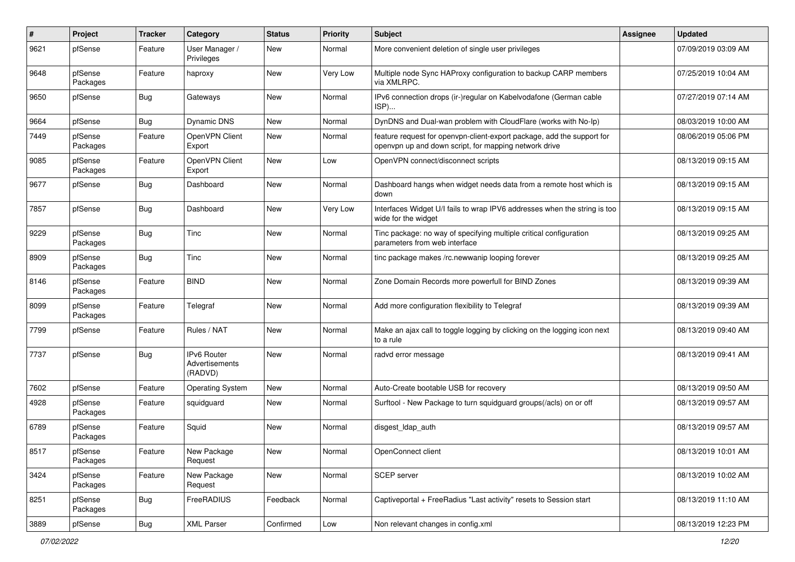| #    | Project             | <b>Tracker</b> | Category                                 | <b>Status</b> | Priority | <b>Subject</b>                                                                                                                  | <b>Assignee</b> | <b>Updated</b>      |
|------|---------------------|----------------|------------------------------------------|---------------|----------|---------------------------------------------------------------------------------------------------------------------------------|-----------------|---------------------|
| 9621 | pfSense             | Feature        | User Manager /<br>Privileges             | New           | Normal   | More convenient deletion of single user privileges                                                                              |                 | 07/09/2019 03:09 AM |
| 9648 | pfSense<br>Packages | Feature        | haproxy                                  | <b>New</b>    | Very Low | Multiple node Sync HAProxy configuration to backup CARP members<br>via XMLRPC.                                                  |                 | 07/25/2019 10:04 AM |
| 9650 | pfSense             | <b>Bug</b>     | Gateways                                 | <b>New</b>    | Normal   | IPv6 connection drops (ir-)regular on Kabelvodafone (German cable<br>ISP)                                                       |                 | 07/27/2019 07:14 AM |
| 9664 | pfSense             | Bug            | Dynamic DNS                              | <b>New</b>    | Normal   | DynDNS and Dual-wan problem with CloudFlare (works with No-Ip)                                                                  |                 | 08/03/2019 10:00 AM |
| 7449 | pfSense<br>Packages | Feature        | OpenVPN Client<br>Export                 | New           | Normal   | feature request for openvpn-client-export package, add the support for<br>openvpn up and down script, for mapping network drive |                 | 08/06/2019 05:06 PM |
| 9085 | pfSense<br>Packages | Feature        | OpenVPN Client<br>Export                 | New           | Low      | OpenVPN connect/disconnect scripts                                                                                              |                 | 08/13/2019 09:15 AM |
| 9677 | pfSense             | Bug            | Dashboard                                | New           | Normal   | Dashboard hangs when widget needs data from a remote host which is<br>down                                                      |                 | 08/13/2019 09:15 AM |
| 7857 | pfSense             | <b>Bug</b>     | Dashboard                                | <b>New</b>    | Very Low | Interfaces Widget U/I fails to wrap IPV6 addresses when the string is too<br>wide for the widget                                |                 | 08/13/2019 09:15 AM |
| 9229 | pfSense<br>Packages | <b>Bug</b>     | Tinc                                     | <b>New</b>    | Normal   | Tinc package: no way of specifying multiple critical configuration<br>parameters from web interface                             |                 | 08/13/2019 09:25 AM |
| 8909 | pfSense<br>Packages | Bug            | Tinc                                     | <b>New</b>    | Normal   | tinc package makes /rc.newwanip looping forever                                                                                 |                 | 08/13/2019 09:25 AM |
| 8146 | pfSense<br>Packages | Feature        | <b>BIND</b>                              | <b>New</b>    | Normal   | Zone Domain Records more powerfull for BIND Zones                                                                               |                 | 08/13/2019 09:39 AM |
| 8099 | pfSense<br>Packages | Feature        | Telegraf                                 | New           | Normal   | Add more configuration flexibility to Telegraf                                                                                  |                 | 08/13/2019 09:39 AM |
| 7799 | pfSense             | Feature        | Rules / NAT                              | <b>New</b>    | Normal   | Make an ajax call to toggle logging by clicking on the logging icon next<br>to a rule                                           |                 | 08/13/2019 09:40 AM |
| 7737 | pfSense             | Bug            | IPv6 Router<br>Advertisements<br>(RADVD) | <b>New</b>    | Normal   | radvd error message                                                                                                             |                 | 08/13/2019 09:41 AM |
| 7602 | pfSense             | Feature        | <b>Operating System</b>                  | <b>New</b>    | Normal   | Auto-Create bootable USB for recovery                                                                                           |                 | 08/13/2019 09:50 AM |
| 4928 | pfSense<br>Packages | Feature        | squidguard                               | <b>New</b>    | Normal   | Surftool - New Package to turn squidguard groups(/acls) on or off                                                               |                 | 08/13/2019 09:57 AM |
| 6789 | pfSense<br>Packages | Feature        | Squid                                    | <b>New</b>    | Normal   | disgest_ldap_auth                                                                                                               |                 | 08/13/2019 09:57 AM |
| 8517 | pfSense<br>Packages | Feature        | New Package<br>Request                   | New           | Normal   | OpenConnect client                                                                                                              |                 | 08/13/2019 10:01 AM |
| 3424 | pfSense<br>Packages | Feature        | New Package<br>Request                   | New           | Normal   | SCEP server                                                                                                                     |                 | 08/13/2019 10:02 AM |
| 8251 | pfSense<br>Packages | <b>Bug</b>     | FreeRADIUS                               | Feedback      | Normal   | Captiveportal + FreeRadius "Last activity" resets to Session start                                                              |                 | 08/13/2019 11:10 AM |
| 3889 | pfSense             | <b>Bug</b>     | <b>XML Parser</b>                        | Confirmed     | Low      | Non relevant changes in config.xml                                                                                              |                 | 08/13/2019 12:23 PM |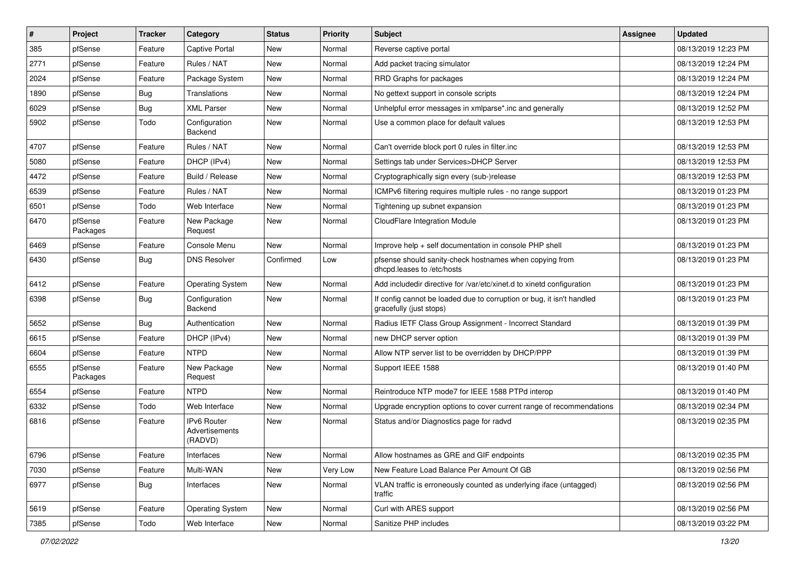| #    | Project             | <b>Tracker</b> | Category                                 | <b>Status</b> | Priority | <b>Subject</b>                                                                                   | <b>Assignee</b> | <b>Updated</b>      |
|------|---------------------|----------------|------------------------------------------|---------------|----------|--------------------------------------------------------------------------------------------------|-----------------|---------------------|
| 385  | pfSense             | Feature        | <b>Captive Portal</b>                    | New           | Normal   | Reverse captive portal                                                                           |                 | 08/13/2019 12:23 PM |
| 2771 | pfSense             | Feature        | Rules / NAT                              | <b>New</b>    | Normal   | Add packet tracing simulator                                                                     |                 | 08/13/2019 12:24 PM |
| 2024 | pfSense             | Feature        | Package System                           | New           | Normal   | RRD Graphs for packages                                                                          |                 | 08/13/2019 12:24 PM |
| 1890 | pfSense             | Bug            | Translations                             | New           | Normal   | No gettext support in console scripts                                                            |                 | 08/13/2019 12:24 PM |
| 6029 | pfSense             | <b>Bug</b>     | <b>XML Parser</b>                        | New           | Normal   | Unhelpful error messages in xmlparse*.inc and generally                                          |                 | 08/13/2019 12:52 PM |
| 5902 | pfSense             | Todo           | Configuration<br>Backend                 | New           | Normal   | Use a common place for default values                                                            |                 | 08/13/2019 12:53 PM |
| 4707 | pfSense             | Feature        | Rules / NAT                              | New           | Normal   | Can't override block port 0 rules in filter.inc                                                  |                 | 08/13/2019 12:53 PM |
| 5080 | pfSense             | Feature        | DHCP (IPv4)                              | <b>New</b>    | Normal   | Settings tab under Services>DHCP Server                                                          |                 | 08/13/2019 12:53 PM |
| 4472 | pfSense             | Feature        | Build / Release                          | New           | Normal   | Cryptographically sign every (sub-)release                                                       |                 | 08/13/2019 12:53 PM |
| 6539 | pfSense             | Feature        | Rules / NAT                              | New           | Normal   | ICMPv6 filtering requires multiple rules - no range support                                      |                 | 08/13/2019 01:23 PM |
| 6501 | pfSense             | Todo           | Web Interface                            | New           | Normal   | Tightening up subnet expansion                                                                   |                 | 08/13/2019 01:23 PM |
| 6470 | pfSense<br>Packages | Feature        | New Package<br>Request                   | New           | Normal   | CloudFlare Integration Module                                                                    |                 | 08/13/2019 01:23 PM |
| 6469 | pfSense             | Feature        | Console Menu                             | <b>New</b>    | Normal   | Improve help + self documentation in console PHP shell                                           |                 | 08/13/2019 01:23 PM |
| 6430 | pfSense             | Bug            | <b>DNS Resolver</b>                      | Confirmed     | Low      | pfsense should sanity-check hostnames when copying from<br>dhcpd.leases to /etc/hosts            |                 | 08/13/2019 01:23 PM |
| 6412 | pfSense             | Feature        | <b>Operating System</b>                  | New           | Normal   | Add includedir directive for /var/etc/xinet.d to xinetd configuration                            |                 | 08/13/2019 01:23 PM |
| 6398 | pfSense             | Bug            | Configuration<br>Backend                 | New           | Normal   | If config cannot be loaded due to corruption or bug, it isn't handled<br>gracefully (just stops) |                 | 08/13/2019 01:23 PM |
| 5652 | pfSense             | <b>Bug</b>     | Authentication                           | New           | Normal   | Radius IETF Class Group Assignment - Incorrect Standard                                          |                 | 08/13/2019 01:39 PM |
| 6615 | pfSense             | Feature        | DHCP (IPv4)                              | New           | Normal   | new DHCP server option                                                                           |                 | 08/13/2019 01:39 PM |
| 6604 | pfSense             | Feature        | <b>NTPD</b>                              | <b>New</b>    | Normal   | Allow NTP server list to be overridden by DHCP/PPP                                               |                 | 08/13/2019 01:39 PM |
| 6555 | pfSense<br>Packages | Feature        | New Package<br>Request                   | New           | Normal   | Support IEEE 1588                                                                                |                 | 08/13/2019 01:40 PM |
| 6554 | pfSense             | Feature        | <b>NTPD</b>                              | New           | Normal   | Reintroduce NTP mode7 for IEEE 1588 PTPd interop                                                 |                 | 08/13/2019 01:40 PM |
| 6332 | pfSense             | Todo           | Web Interface                            | New           | Normal   | Upgrade encryption options to cover current range of recommendations                             |                 | 08/13/2019 02:34 PM |
| 6816 | pfSense             | Feature        | IPv6 Router<br>Advertisements<br>(RADVD) | New           | Normal   | Status and/or Diagnostics page for radvd                                                         |                 | 08/13/2019 02:35 PM |
| 6796 | pfSense             | Feature        | Interfaces                               | New           | Normal   | Allow hostnames as GRE and GIF endpoints                                                         |                 | 08/13/2019 02:35 PM |
| 7030 | pfSense             | Feature        | Multi-WAN                                | New           | Very Low | New Feature Load Balance Per Amount Of GB                                                        |                 | 08/13/2019 02:56 PM |
| 6977 | pfSense             | <b>Bug</b>     | Interfaces                               | New           | Normal   | VLAN traffic is erroneously counted as underlying iface (untagged)<br>traffic                    |                 | 08/13/2019 02:56 PM |
| 5619 | pfSense             | Feature        | <b>Operating System</b>                  | New           | Normal   | Curl with ARES support                                                                           |                 | 08/13/2019 02:56 PM |
| 7385 | pfSense             | Todo           | Web Interface                            | New           | Normal   | Sanitize PHP includes                                                                            |                 | 08/13/2019 03:22 PM |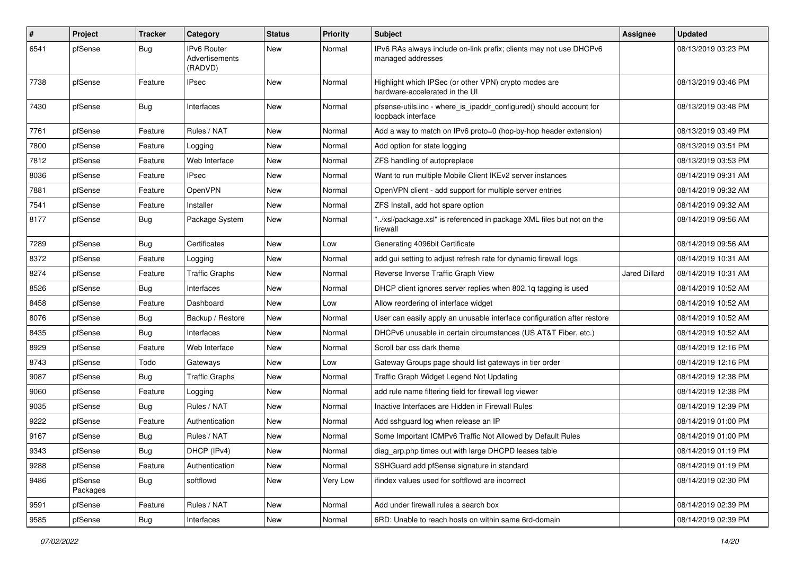| #    | Project             | <b>Tracker</b> | Category                                 | <b>Status</b> | <b>Priority</b> | <b>Subject</b>                                                                            | Assignee             | <b>Updated</b>      |
|------|---------------------|----------------|------------------------------------------|---------------|-----------------|-------------------------------------------------------------------------------------------|----------------------|---------------------|
| 6541 | pfSense             | Bug            | IPv6 Router<br>Advertisements<br>(RADVD) | New           | Normal          | IPv6 RAs always include on-link prefix; clients may not use DHCPv6<br>managed addresses   |                      | 08/13/2019 03:23 PM |
| 7738 | pfSense             | Feature        | <b>IPsec</b>                             | <b>New</b>    | Normal          | Highlight which IPSec (or other VPN) crypto modes are<br>hardware-accelerated in the UI   |                      | 08/13/2019 03:46 PM |
| 7430 | pfSense             | Bug            | Interfaces                               | New           | Normal          | pfsense-utils.inc - where_is_ipaddr_configured() should account for<br>loopback interface |                      | 08/13/2019 03:48 PM |
| 7761 | pfSense             | Feature        | Rules / NAT                              | New           | Normal          | Add a way to match on IPv6 proto=0 (hop-by-hop header extension)                          |                      | 08/13/2019 03:49 PM |
| 7800 | pfSense             | Feature        | Logging                                  | New           | Normal          | Add option for state logging                                                              |                      | 08/13/2019 03:51 PM |
| 7812 | pfSense             | Feature        | Web Interface                            | New           | Normal          | ZFS handling of autopreplace                                                              |                      | 08/13/2019 03:53 PM |
| 8036 | pfSense             | Feature        | <b>IPsec</b>                             | New           | Normal          | Want to run multiple Mobile Client IKEv2 server instances                                 |                      | 08/14/2019 09:31 AM |
| 7881 | pfSense             | Feature        | OpenVPN                                  | New           | Normal          | OpenVPN client - add support for multiple server entries                                  |                      | 08/14/2019 09:32 AM |
| 7541 | pfSense             | Feature        | Installer                                | New           | Normal          | ZFS Install, add hot spare option                                                         |                      | 08/14/2019 09:32 AM |
| 8177 | pfSense             | <b>Bug</b>     | Package System                           | New           | Normal          | "/xsl/package.xsl" is referenced in package XML files but not on the<br>firewall          |                      | 08/14/2019 09:56 AM |
| 7289 | pfSense             | Bug            | Certificates                             | <b>New</b>    | Low             | Generating 4096bit Certificate                                                            |                      | 08/14/2019 09:56 AM |
| 8372 | pfSense             | Feature        | Logging                                  | New           | Normal          | add gui setting to adjust refresh rate for dynamic firewall logs                          |                      | 08/14/2019 10:31 AM |
| 8274 | pfSense             | Feature        | <b>Traffic Graphs</b>                    | New           | Normal          | Reverse Inverse Traffic Graph View                                                        | <b>Jared Dillard</b> | 08/14/2019 10:31 AM |
| 8526 | pfSense             | Bug            | Interfaces                               | New           | Normal          | DHCP client ignores server replies when 802.1q tagging is used                            |                      | 08/14/2019 10:52 AM |
| 8458 | pfSense             | Feature        | Dashboard                                | New           | Low             | Allow reordering of interface widget                                                      |                      | 08/14/2019 10:52 AM |
| 8076 | pfSense             | Bug            | Backup / Restore                         | New           | Normal          | User can easily apply an unusable interface configuration after restore                   |                      | 08/14/2019 10:52 AM |
| 8435 | pfSense             | Bug            | Interfaces                               | New           | Normal          | DHCPv6 unusable in certain circumstances (US AT&T Fiber, etc.)                            |                      | 08/14/2019 10:52 AM |
| 8929 | pfSense             | Feature        | Web Interface                            | New           | Normal          | Scroll bar css dark theme                                                                 |                      | 08/14/2019 12:16 PM |
| 8743 | pfSense             | Todo           | Gateways                                 | New           | Low             | Gateway Groups page should list gateways in tier order                                    |                      | 08/14/2019 12:16 PM |
| 9087 | pfSense             | <b>Bug</b>     | <b>Traffic Graphs</b>                    | New           | Normal          | Traffic Graph Widget Legend Not Updating                                                  |                      | 08/14/2019 12:38 PM |
| 9060 | pfSense             | Feature        | Logging                                  | New           | Normal          | add rule name filtering field for firewall log viewer                                     |                      | 08/14/2019 12:38 PM |
| 9035 | pfSense             | <b>Bug</b>     | Rules / NAT                              | New           | Normal          | Inactive Interfaces are Hidden in Firewall Rules                                          |                      | 08/14/2019 12:39 PM |
| 9222 | pfSense             | Feature        | Authentication                           | New           | Normal          | Add sshguard log when release an IP                                                       |                      | 08/14/2019 01:00 PM |
| 9167 | pfSense             | Bug            | Rules / NAT                              | New           | Normal          | Some Important ICMPv6 Traffic Not Allowed by Default Rules                                |                      | 08/14/2019 01:00 PM |
| 9343 | pfSense             | Bug            | DHCP (IPv4)                              | New           | Normal          | diag_arp.php times out with large DHCPD leases table                                      |                      | 08/14/2019 01:19 PM |
| 9288 | pfSense             | Feature        | Authentication                           | New           | Normal          | SSHGuard add pfSense signature in standard                                                |                      | 08/14/2019 01:19 PM |
| 9486 | pfSense<br>Packages | <b>Bug</b>     | softflowd                                | New           | Very Low        | ifindex values used for softflowd are incorrect                                           |                      | 08/14/2019 02:30 PM |
| 9591 | pfSense             | Feature        | Rules / NAT                              | New           | Normal          | Add under firewall rules a search box                                                     |                      | 08/14/2019 02:39 PM |
| 9585 | pfSense             | Bug            | Interfaces                               | New           | Normal          | 6RD: Unable to reach hosts on within same 6rd-domain                                      |                      | 08/14/2019 02:39 PM |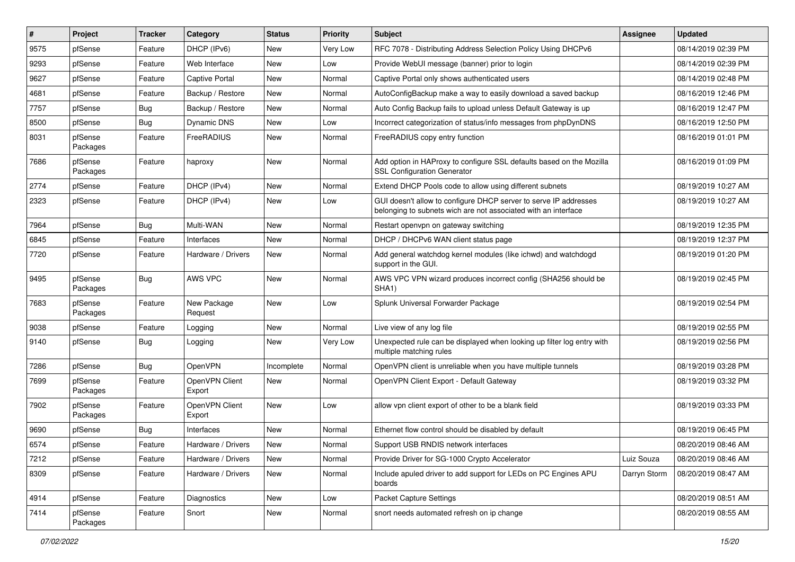| ∦    | Project             | <b>Tracker</b> | Category                 | <b>Status</b> | <b>Priority</b> | <b>Subject</b>                                                                                                                     | Assignee     | <b>Updated</b>      |
|------|---------------------|----------------|--------------------------|---------------|-----------------|------------------------------------------------------------------------------------------------------------------------------------|--------------|---------------------|
| 9575 | pfSense             | Feature        | DHCP (IPv6)              | New           | Very Low        | RFC 7078 - Distributing Address Selection Policy Using DHCPv6                                                                      |              | 08/14/2019 02:39 PM |
| 9293 | pfSense             | Feature        | Web Interface            | New           | Low             | Provide WebUI message (banner) prior to login                                                                                      |              | 08/14/2019 02:39 PM |
| 9627 | pfSense             | Feature        | Captive Portal           | New           | Normal          | Captive Portal only shows authenticated users                                                                                      |              | 08/14/2019 02:48 PM |
| 4681 | pfSense             | Feature        | Backup / Restore         | New           | Normal          | AutoConfigBackup make a way to easily download a saved backup                                                                      |              | 08/16/2019 12:46 PM |
| 7757 | pfSense             | Bug            | Backup / Restore         | <b>New</b>    | Normal          | Auto Config Backup fails to upload unless Default Gateway is up                                                                    |              | 08/16/2019 12:47 PM |
| 8500 | pfSense             | Bug            | Dynamic DNS              | New           | Low             | Incorrect categorization of status/info messages from phpDynDNS                                                                    |              | 08/16/2019 12:50 PM |
| 8031 | pfSense<br>Packages | Feature        | FreeRADIUS               | New           | Normal          | FreeRADIUS copy entry function                                                                                                     |              | 08/16/2019 01:01 PM |
| 7686 | pfSense<br>Packages | Feature        | haproxy                  | New           | Normal          | Add option in HAProxy to configure SSL defaults based on the Mozilla<br><b>SSL Configuration Generator</b>                         |              | 08/16/2019 01:09 PM |
| 2774 | pfSense             | Feature        | DHCP (IPv4)              | <b>New</b>    | Normal          | Extend DHCP Pools code to allow using different subnets                                                                            |              | 08/19/2019 10:27 AM |
| 2323 | pfSense             | Feature        | DHCP (IPv4)              | New           | Low             | GUI doesn't allow to configure DHCP server to serve IP addresses<br>belonging to subnets wich are not associated with an interface |              | 08/19/2019 10:27 AM |
| 7964 | pfSense             | Bug            | Multi-WAN                | New           | Normal          | Restart openvpn on gateway switching                                                                                               |              | 08/19/2019 12:35 PM |
| 6845 | pfSense             | Feature        | Interfaces               | New           | Normal          | DHCP / DHCPv6 WAN client status page                                                                                               |              | 08/19/2019 12:37 PM |
| 7720 | pfSense             | Feature        | Hardware / Drivers       | <b>New</b>    | Normal          | Add general watchdog kernel modules (like ichwd) and watchdogd<br>support in the GUI.                                              |              | 08/19/2019 01:20 PM |
| 9495 | pfSense<br>Packages | Bug            | AWS VPC                  | <b>New</b>    | Normal          | AWS VPC VPN wizard produces incorrect config (SHA256 should be<br>SHA1)                                                            |              | 08/19/2019 02:45 PM |
| 7683 | pfSense<br>Packages | Feature        | New Package<br>Request   | <b>New</b>    | Low             | Splunk Universal Forwarder Package                                                                                                 |              | 08/19/2019 02:54 PM |
| 9038 | pfSense             | Feature        | Logging                  | New           | Normal          | Live view of any log file                                                                                                          |              | 08/19/2019 02:55 PM |
| 9140 | pfSense             | Bug            | Logging                  | New           | Very Low        | Unexpected rule can be displayed when looking up filter log entry with<br>multiple matching rules                                  |              | 08/19/2019 02:56 PM |
| 7286 | pfSense             | Bug            | OpenVPN                  | Incomplete    | Normal          | OpenVPN client is unreliable when you have multiple tunnels                                                                        |              | 08/19/2019 03:28 PM |
| 7699 | pfSense<br>Packages | Feature        | OpenVPN Client<br>Export | New           | Normal          | OpenVPN Client Export - Default Gateway                                                                                            |              | 08/19/2019 03:32 PM |
| 7902 | pfSense<br>Packages | Feature        | OpenVPN Client<br>Export | New           | Low             | allow vpn client export of other to be a blank field                                                                               |              | 08/19/2019 03:33 PM |
| 9690 | pfSense             | Bug            | Interfaces               | New           | Normal          | Ethernet flow control should be disabled by default                                                                                |              | 08/19/2019 06:45 PM |
| 6574 | pfSense             | Feature        | Hardware / Drivers       | New           | Normal          | Support USB RNDIS network interfaces                                                                                               |              | 08/20/2019 08:46 AM |
| 7212 | pfSense             | Feature        | Hardware / Drivers       | New           | Normal          | Provide Driver for SG-1000 Crypto Accelerator                                                                                      | Luiz Souza   | 08/20/2019 08:46 AM |
| 8309 | pfSense             | Feature        | Hardware / Drivers       | New           | Normal          | Include apuled driver to add support for LEDs on PC Engines APU<br>boards                                                          | Darryn Storm | 08/20/2019 08:47 AM |
| 4914 | pfSense             | Feature        | Diagnostics              | New           | Low             | Packet Capture Settings                                                                                                            |              | 08/20/2019 08:51 AM |
| 7414 | pfSense<br>Packages | Feature        | Snort                    | New           | Normal          | snort needs automated refresh on ip change                                                                                         |              | 08/20/2019 08:55 AM |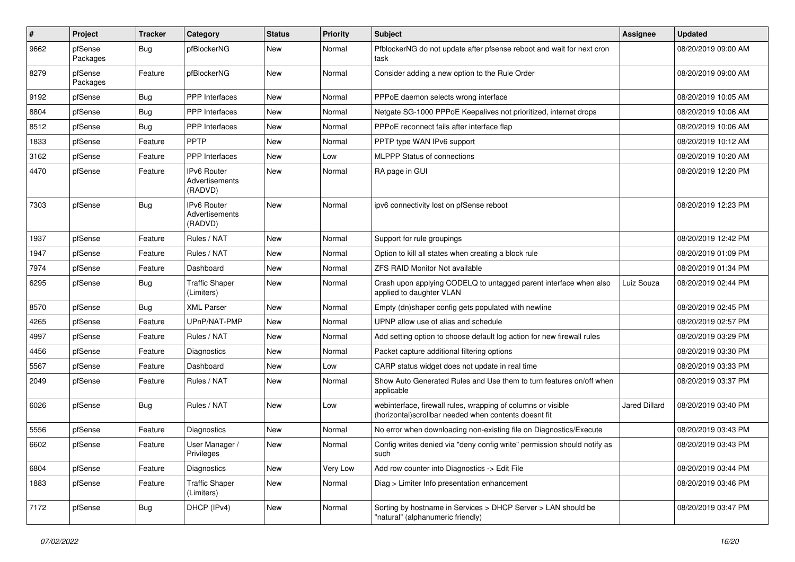| $\vert$ # | Project             | <b>Tracker</b> | Category                                        | <b>Status</b> | <b>Priority</b> | <b>Subject</b>                                                                                                        | Assignee             | <b>Updated</b>      |
|-----------|---------------------|----------------|-------------------------------------------------|---------------|-----------------|-----------------------------------------------------------------------------------------------------------------------|----------------------|---------------------|
| 9662      | pfSense<br>Packages | Bug            | pfBlockerNG                                     | New           | Normal          | PfblockerNG do not update after pfsense reboot and wait for next cron<br>task                                         |                      | 08/20/2019 09:00 AM |
| 8279      | pfSense<br>Packages | Feature        | pfBlockerNG                                     | <b>New</b>    | Normal          | Consider adding a new option to the Rule Order                                                                        |                      | 08/20/2019 09:00 AM |
| 9192      | pfSense             | Bug            | <b>PPP</b> Interfaces                           | <b>New</b>    | Normal          | PPPoE daemon selects wrong interface                                                                                  |                      | 08/20/2019 10:05 AM |
| 8804      | pfSense             | <b>Bug</b>     | <b>PPP</b> Interfaces                           | <b>New</b>    | Normal          | Netgate SG-1000 PPPoE Keepalives not prioritized, internet drops                                                      |                      | 08/20/2019 10:06 AM |
| 8512      | pfSense             | Bug            | <b>PPP</b> Interfaces                           | New           | Normal          | PPPoE reconnect fails after interface flap                                                                            |                      | 08/20/2019 10:06 AM |
| 1833      | pfSense             | Feature        | <b>PPTP</b>                                     | New           | Normal          | PPTP type WAN IPv6 support                                                                                            |                      | 08/20/2019 10:12 AM |
| 3162      | pfSense             | Feature        | PPP Interfaces                                  | <b>New</b>    | Low             | <b>MLPPP Status of connections</b>                                                                                    |                      | 08/20/2019 10:20 AM |
| 4470      | pfSense             | Feature        | <b>IPv6 Router</b><br>Advertisements<br>(RADVD) | New           | Normal          | RA page in GUI                                                                                                        |                      | 08/20/2019 12:20 PM |
| 7303      | pfSense             | Bug            | <b>IPv6 Router</b><br>Advertisements<br>(RADVD) | New           | Normal          | ipv6 connectivity lost on pfSense reboot                                                                              |                      | 08/20/2019 12:23 PM |
| 1937      | pfSense             | Feature        | Rules / NAT                                     | <b>New</b>    | Normal          | Support for rule groupings                                                                                            |                      | 08/20/2019 12:42 PM |
| 1947      | pfSense             | Feature        | Rules / NAT                                     | New           | Normal          | Option to kill all states when creating a block rule                                                                  |                      | 08/20/2019 01:09 PM |
| 7974      | pfSense             | Feature        | Dashboard                                       | <b>New</b>    | Normal          | <b>ZFS RAID Monitor Not available</b>                                                                                 |                      | 08/20/2019 01:34 PM |
| 6295      | pfSense             | Bug            | <b>Traffic Shaper</b><br>(Limiters)             | New           | Normal          | Crash upon applying CODELQ to untagged parent interface when also<br>applied to daughter VLAN                         | Luiz Souza           | 08/20/2019 02:44 PM |
| 8570      | pfSense             | Bug            | <b>XML Parser</b>                               | <b>New</b>    | Normal          | Empty (dn)shaper config gets populated with newline                                                                   |                      | 08/20/2019 02:45 PM |
| 4265      | pfSense             | Feature        | UPnP/NAT-PMP                                    | New           | Normal          | UPNP allow use of alias and schedule                                                                                  |                      | 08/20/2019 02:57 PM |
| 4997      | pfSense             | Feature        | Rules / NAT                                     | New           | Normal          | Add setting option to choose default log action for new firewall rules                                                |                      | 08/20/2019 03:29 PM |
| 4456      | pfSense             | Feature        | Diagnostics                                     | <b>New</b>    | Normal          | Packet capture additional filtering options                                                                           |                      | 08/20/2019 03:30 PM |
| 5567      | pfSense             | Feature        | Dashboard                                       | New           | Low             | CARP status widget does not update in real time                                                                       |                      | 08/20/2019 03:33 PM |
| 2049      | pfSense             | Feature        | Rules / NAT                                     | New           | Normal          | Show Auto Generated Rules and Use them to turn features on/off when<br>applicable                                     |                      | 08/20/2019 03:37 PM |
| 6026      | pfSense             | Bug            | Rules / NAT                                     | <b>New</b>    | Low             | webinterface, firewall rules, wrapping of columns or visible<br>(horizontal)scrollbar needed when contents doesnt fit | <b>Jared Dillard</b> | 08/20/2019 03:40 PM |
| 5556      | pfSense             | Feature        | Diagnostics                                     | New           | Normal          | No error when downloading non-existing file on Diagnostics/Execute                                                    |                      | 08/20/2019 03:43 PM |
| 6602      | pfSense             | Feature        | User Manager /<br>Privileges                    | New           | Normal          | Config writes denied via "deny config write" permission should notify as<br>such                                      |                      | 08/20/2019 03:43 PM |
| 6804      | pfSense             | Feature        | Diagnostics                                     | New           | Very Low        | Add row counter into Diagnostics -> Edit File                                                                         |                      | 08/20/2019 03:44 PM |
| 1883      | pfSense             | Feature        | <b>Traffic Shaper</b><br>(Limiters)             | New           | Normal          | Diag > Limiter Info presentation enhancement                                                                          |                      | 08/20/2019 03:46 PM |
| 7172      | pfSense             | <b>Bug</b>     | DHCP (IPv4)                                     | New           | Normal          | Sorting by hostname in Services > DHCP Server > LAN should be<br>"natural" (alphanumeric friendly)                    |                      | 08/20/2019 03:47 PM |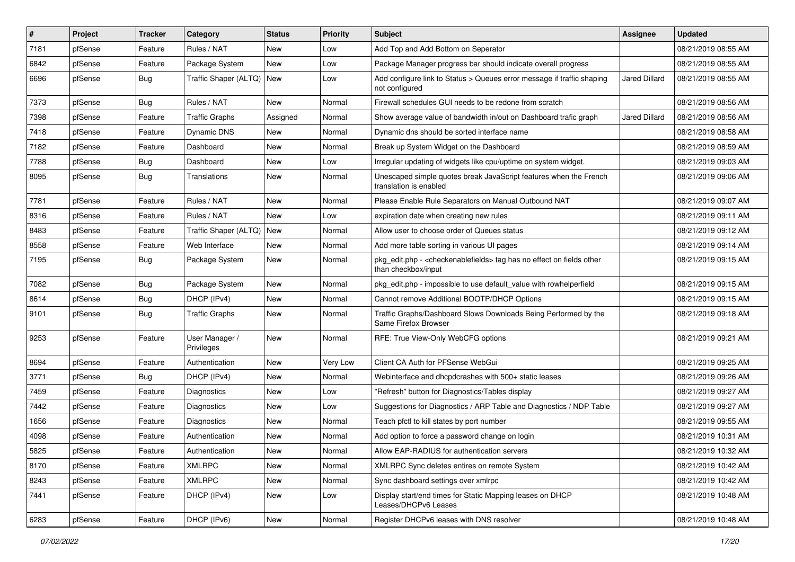| #    | Project | <b>Tracker</b> | Category                     | <b>Status</b> | Priority | <b>Subject</b>                                                                                                   | <b>Assignee</b>      | <b>Updated</b>      |
|------|---------|----------------|------------------------------|---------------|----------|------------------------------------------------------------------------------------------------------------------|----------------------|---------------------|
| 7181 | pfSense | Feature        | Rules / NAT                  | New           | Low      | Add Top and Add Bottom on Seperator                                                                              |                      | 08/21/2019 08:55 AM |
| 6842 | pfSense | Feature        | Package System               | <b>New</b>    | Low      | Package Manager progress bar should indicate overall progress                                                    |                      | 08/21/2019 08:55 AM |
| 6696 | pfSense | Bug            | Traffic Shaper (ALTQ)   New  |               | Low      | Add configure link to Status > Queues error message if traffic shaping<br>not configured                         | <b>Jared Dillard</b> | 08/21/2019 08:55 AM |
| 7373 | pfSense | Bug            | Rules / NAT                  | New           | Normal   | Firewall schedules GUI needs to be redone from scratch                                                           |                      | 08/21/2019 08:56 AM |
| 7398 | pfSense | Feature        | <b>Traffic Graphs</b>        | Assigned      | Normal   | Show average value of bandwidth in/out on Dashboard trafic graph                                                 | Jared Dillard        | 08/21/2019 08:56 AM |
| 7418 | pfSense | Feature        | Dynamic DNS                  | New           | Normal   | Dynamic dns should be sorted interface name                                                                      |                      | 08/21/2019 08:58 AM |
| 7182 | pfSense | Feature        | Dashboard                    | New           | Normal   | Break up System Widget on the Dashboard                                                                          |                      | 08/21/2019 08:59 AM |
| 7788 | pfSense | <b>Bug</b>     | Dashboard                    | New           | Low      | Irregular updating of widgets like cpu/uptime on system widget.                                                  |                      | 08/21/2019 09:03 AM |
| 8095 | pfSense | Bug            | Translations                 | New           | Normal   | Unescaped simple quotes break JavaScript features when the French<br>translation is enabled                      |                      | 08/21/2019 09:06 AM |
| 7781 | pfSense | Feature        | Rules / NAT                  | New           | Normal   | Please Enable Rule Separators on Manual Outbound NAT                                                             |                      | 08/21/2019 09:07 AM |
| 8316 | pfSense | Feature        | Rules / NAT                  | New           | Low      | expiration date when creating new rules                                                                          |                      | 08/21/2019 09:11 AM |
| 8483 | pfSense | Feature        | Traffic Shaper (ALTQ)   New  |               | Normal   | Allow user to choose order of Queues status                                                                      |                      | 08/21/2019 09:12 AM |
| 8558 | pfSense | Feature        | Web Interface                | <b>New</b>    | Normal   | Add more table sorting in various UI pages                                                                       |                      | 08/21/2019 09:14 AM |
| 7195 | pfSense | Bug            | Package System               | New           | Normal   | pkg_edit.php - <checkenablefields> tag has no effect on fields other<br/>than checkbox/input</checkenablefields> |                      | 08/21/2019 09:15 AM |
| 7082 | pfSense | <b>Bug</b>     | Package System               | New           | Normal   | pkg edit.php - impossible to use default value with rowhelperfield                                               |                      | 08/21/2019 09:15 AM |
| 8614 | pfSense | <b>Bug</b>     | DHCP (IPv4)                  | New           | Normal   | Cannot remove Additional BOOTP/DHCP Options                                                                      |                      | 08/21/2019 09:15 AM |
| 9101 | pfSense | Bug            | <b>Traffic Graphs</b>        | New           | Normal   | Traffic Graphs/Dashboard Slows Downloads Being Performed by the<br>Same Firefox Browser                          |                      | 08/21/2019 09:18 AM |
| 9253 | pfSense | Feature        | User Manager /<br>Privileges | New           | Normal   | RFE: True View-Only WebCFG options                                                                               |                      | 08/21/2019 09:21 AM |
| 8694 | pfSense | Feature        | Authentication               | New           | Very Low | Client CA Auth for PFSense WebGui                                                                                |                      | 08/21/2019 09:25 AM |
| 3771 | pfSense | <b>Bug</b>     | DHCP (IPv4)                  | New           | Normal   | Webinterface and dhcpdcrashes with 500+ static leases                                                            |                      | 08/21/2019 09:26 AM |
| 7459 | pfSense | Feature        | Diagnostics                  | <b>New</b>    | Low      | "Refresh" button for Diagnostics/Tables display                                                                  |                      | 08/21/2019 09:27 AM |
| 7442 | pfSense | Feature        | <b>Diagnostics</b>           | New           | Low      | Suggestions for Diagnostics / ARP Table and Diagnostics / NDP Table                                              |                      | 08/21/2019 09:27 AM |
| 1656 | pfSense | Feature        | <b>Diagnostics</b>           | New           | Normal   | Teach pfctl to kill states by port number                                                                        |                      | 08/21/2019 09:55 AM |
| 4098 | pfSense | Feature        | Authentication               | <b>New</b>    | Normal   | Add option to force a password change on login                                                                   |                      | 08/21/2019 10:31 AM |
| 5825 | ptSense | Feature        | Authentication               | New           | Normal   | Allow EAP-RADIUS for authentication servers                                                                      |                      | 08/21/2019 10:32 AM |
| 8170 | pfSense | Feature        | <b>XMLRPC</b>                | New           | Normal   | XMLRPC Sync deletes entires on remote System                                                                     |                      | 08/21/2019 10:42 AM |
| 8243 | pfSense | Feature        | <b>XMLRPC</b>                | New           | Normal   | Sync dashboard settings over xmlrpc                                                                              |                      | 08/21/2019 10:42 AM |
| 7441 | pfSense | Feature        | DHCP (IPv4)                  | New           | Low      | Display start/end times for Static Mapping leases on DHCP<br>Leases/DHCPv6 Leases                                |                      | 08/21/2019 10:48 AM |
| 6283 | pfSense | Feature        | DHCP (IPv6)                  | New           | Normal   | Register DHCPv6 leases with DNS resolver                                                                         |                      | 08/21/2019 10:48 AM |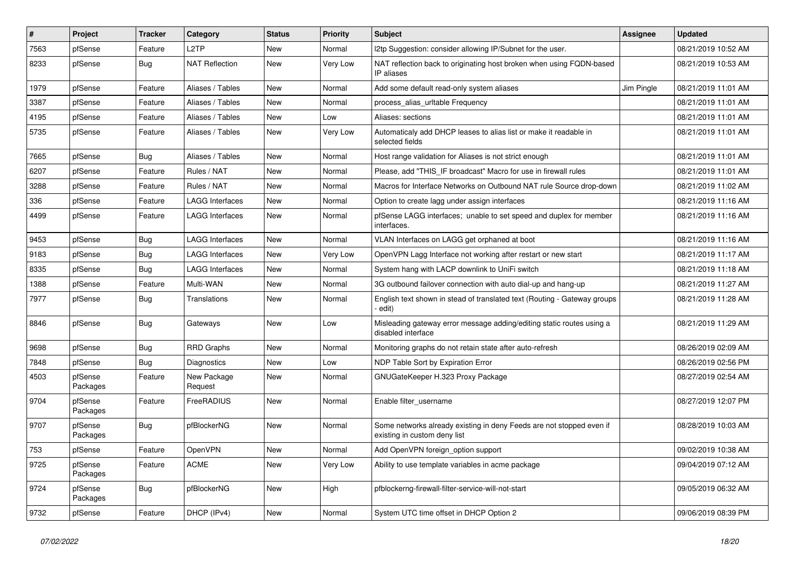| $\vert$ # | Project             | <b>Tracker</b> | Category               | <b>Status</b> | <b>Priority</b> | <b>Subject</b>                                                                                       | <b>Assignee</b> | <b>Updated</b>      |
|-----------|---------------------|----------------|------------------------|---------------|-----------------|------------------------------------------------------------------------------------------------------|-----------------|---------------------|
| 7563      | pfSense             | Feature        | L <sub>2</sub> TP      | New           | Normal          | I2tp Suggestion: consider allowing IP/Subnet for the user.                                           |                 | 08/21/2019 10:52 AM |
| 8233      | pfSense             | Bug            | <b>NAT Reflection</b>  | New           | Very Low        | NAT reflection back to originating host broken when using FQDN-based<br>IP aliases                   |                 | 08/21/2019 10:53 AM |
| 1979      | pfSense             | Feature        | Aliases / Tables       | <b>New</b>    | Normal          | Add some default read-only system aliases                                                            | Jim Pingle      | 08/21/2019 11:01 AM |
| 3387      | pfSense             | Feature        | Aliases / Tables       | New           | Normal          | process_alias_urltable Frequency                                                                     |                 | 08/21/2019 11:01 AM |
| 4195      | pfSense             | Feature        | Aliases / Tables       | New           | Low             | Aliases: sections                                                                                    |                 | 08/21/2019 11:01 AM |
| 5735      | pfSense             | Feature        | Aliases / Tables       | New           | Very Low        | Automaticaly add DHCP leases to alias list or make it readable in<br>selected fields                 |                 | 08/21/2019 11:01 AM |
| 7665      | pfSense             | Bug            | Aliases / Tables       | New           | Normal          | Host range validation for Aliases is not strict enough                                               |                 | 08/21/2019 11:01 AM |
| 6207      | pfSense             | Feature        | Rules / NAT            | New           | Normal          | Please, add "THIS_IF broadcast" Macro for use in firewall rules                                      |                 | 08/21/2019 11:01 AM |
| 3288      | pfSense             | Feature        | Rules / NAT            | New           | Normal          | Macros for Interface Networks on Outbound NAT rule Source drop-down                                  |                 | 08/21/2019 11:02 AM |
| 336       | pfSense             | Feature        | <b>LAGG Interfaces</b> | New           | Normal          | Option to create lagg under assign interfaces                                                        |                 | 08/21/2019 11:16 AM |
| 4499      | pfSense             | Feature        | LAGG Interfaces        | New           | Normal          | pfSense LAGG interfaces; unable to set speed and duplex for member<br>interfaces.                    |                 | 08/21/2019 11:16 AM |
| 9453      | pfSense             | <b>Bug</b>     | <b>LAGG Interfaces</b> | New           | Normal          | VLAN Interfaces on LAGG get orphaned at boot                                                         |                 | 08/21/2019 11:16 AM |
| 9183      | pfSense             | Bug            | <b>LAGG Interfaces</b> | New           | Very Low        | OpenVPN Lagg Interface not working after restart or new start                                        |                 | 08/21/2019 11:17 AM |
| 8335      | pfSense             | Bug            | <b>LAGG Interfaces</b> | New           | Normal          | System hang with LACP downlink to UniFi switch                                                       |                 | 08/21/2019 11:18 AM |
| 1388      | pfSense             | Feature        | Multi-WAN              | New           | Normal          | 3G outbound failover connection with auto dial-up and hang-up                                        |                 | 08/21/2019 11:27 AM |
| 7977      | pfSense             | <b>Bug</b>     | Translations           | New           | Normal          | English text shown in stead of translated text (Routing - Gateway groups<br>edit)                    |                 | 08/21/2019 11:28 AM |
| 8846      | pfSense             | <b>Bug</b>     | Gateways               | New           | Low             | Misleading gateway error message adding/editing static routes using a<br>disabled interface          |                 | 08/21/2019 11:29 AM |
| 9698      | pfSense             | <b>Bug</b>     | <b>RRD Graphs</b>      | New           | Normal          | Monitoring graphs do not retain state after auto-refresh                                             |                 | 08/26/2019 02:09 AM |
| 7848      | pfSense             | Bug            | <b>Diagnostics</b>     | New           | Low             | NDP Table Sort by Expiration Error                                                                   |                 | 08/26/2019 02:56 PM |
| 4503      | pfSense<br>Packages | Feature        | New Package<br>Request | New           | Normal          | GNUGateKeeper H.323 Proxy Package                                                                    |                 | 08/27/2019 02:54 AM |
| 9704      | pfSense<br>Packages | Feature        | FreeRADIUS             | New           | Normal          | Enable filter username                                                                               |                 | 08/27/2019 12:07 PM |
| 9707      | pfSense<br>Packages | <b>Bug</b>     | pfBlockerNG            | New           | Normal          | Some networks already existing in deny Feeds are not stopped even if<br>existing in custom deny list |                 | 08/28/2019 10:03 AM |
| 753       | pfSense             | Feature        | OpenVPN                | New           | Normal          | Add OpenVPN foreign_option support                                                                   |                 | 09/02/2019 10:38 AM |
| 9725      | pfSense<br>Packages | Feature        | ACME                   | New           | Very Low        | Ability to use template variables in acme package                                                    |                 | 09/04/2019 07:12 AM |
| 9724      | pfSense<br>Packages | <b>Bug</b>     | pfBlockerNG            | New           | High            | pfblockerng-firewall-filter-service-will-not-start                                                   |                 | 09/05/2019 06:32 AM |
| 9732      | pfSense             | Feature        | DHCP (IPv4)            | New           | Normal          | System UTC time offset in DHCP Option 2                                                              |                 | 09/06/2019 08:39 PM |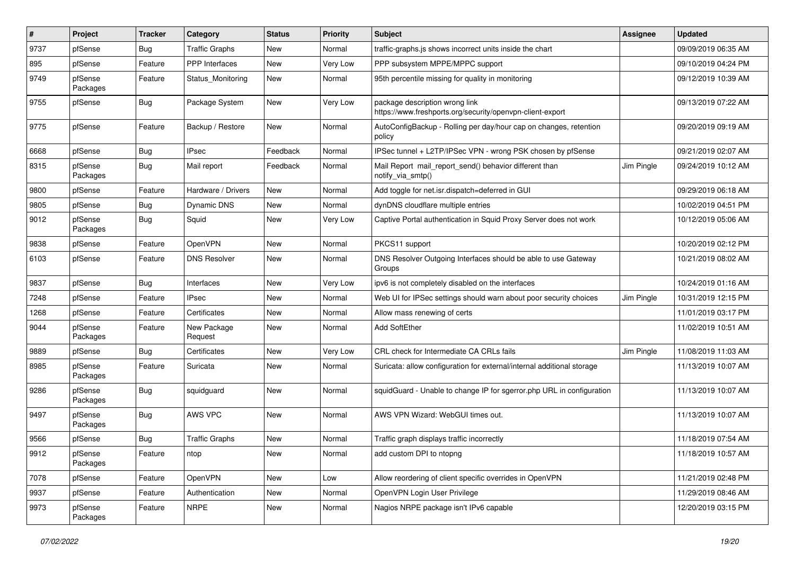| #    | Project             | <b>Tracker</b> | Category               | <b>Status</b> | <b>Priority</b> | <b>Subject</b>                                                                              | <b>Assignee</b> | <b>Updated</b>      |
|------|---------------------|----------------|------------------------|---------------|-----------------|---------------------------------------------------------------------------------------------|-----------------|---------------------|
| 9737 | pfSense             | Bug            | <b>Traffic Graphs</b>  | New           | Normal          | traffic-graphs.js shows incorrect units inside the chart                                    |                 | 09/09/2019 06:35 AM |
| 895  | pfSense             | Feature        | <b>PPP</b> Interfaces  | <b>New</b>    | Very Low        | PPP subsystem MPPE/MPPC support                                                             |                 | 09/10/2019 04:24 PM |
| 9749 | pfSense<br>Packages | Feature        | Status_Monitoring      | New           | Normal          | 95th percentile missing for quality in monitoring                                           |                 | 09/12/2019 10:39 AM |
| 9755 | pfSense             | Bug            | Package System         | New           | Very Low        | package description wrong link<br>https://www.freshports.org/security/openvpn-client-export |                 | 09/13/2019 07:22 AM |
| 9775 | pfSense             | Feature        | Backup / Restore       | New           | Normal          | AutoConfigBackup - Rolling per day/hour cap on changes, retention<br>policy                 |                 | 09/20/2019 09:19 AM |
| 6668 | pfSense             | Bug            | <b>IPsec</b>           | Feedback      | Normal          | IPSec tunnel + L2TP/IPSec VPN - wrong PSK chosen by pfSense                                 |                 | 09/21/2019 02:07 AM |
| 8315 | pfSense<br>Packages | Bug            | Mail report            | Feedback      | Normal          | Mail Report mail report send() behavior different than<br>notify via smtp()                 | Jim Pingle      | 09/24/2019 10:12 AM |
| 9800 | pfSense             | Feature        | Hardware / Drivers     | <b>New</b>    | Normal          | Add toggle for net.isr.dispatch=deferred in GUI                                             |                 | 09/29/2019 06:18 AM |
| 9805 | pfSense             | Bug            | Dynamic DNS            | New           | Normal          | dynDNS cloudflare multiple entries                                                          |                 | 10/02/2019 04:51 PM |
| 9012 | pfSense<br>Packages | <b>Bug</b>     | Squid                  | New           | Very Low        | Captive Portal authentication in Squid Proxy Server does not work                           |                 | 10/12/2019 05:06 AM |
| 9838 | pfSense             | Feature        | OpenVPN                | New           | Normal          | PKCS11 support                                                                              |                 | 10/20/2019 02:12 PM |
| 6103 | pfSense             | Feature        | <b>DNS Resolver</b>    | New           | Normal          | DNS Resolver Outgoing Interfaces should be able to use Gateway<br>Groups                    |                 | 10/21/2019 08:02 AM |
| 9837 | pfSense             | Bug            | Interfaces             | New           | Very Low        | ipv6 is not completely disabled on the interfaces                                           |                 | 10/24/2019 01:16 AM |
| 7248 | pfSense             | Feature        | <b>IPsec</b>           | New           | Normal          | Web UI for IPSec settings should warn about poor security choices                           | Jim Pingle      | 10/31/2019 12:15 PM |
| 1268 | pfSense             | Feature        | Certificates           | New           | Normal          | Allow mass renewing of certs                                                                |                 | 11/01/2019 03:17 PM |
| 9044 | pfSense<br>Packages | Feature        | New Package<br>Request | New           | Normal          | Add SoftEther                                                                               |                 | 11/02/2019 10:51 AM |
| 9889 | pfSense             | Bug            | Certificates           | New           | Very Low        | CRL check for Intermediate CA CRLs fails                                                    | Jim Pingle      | 11/08/2019 11:03 AM |
| 8985 | pfSense<br>Packages | Feature        | Suricata               | New           | Normal          | Suricata: allow configuration for external/internal additional storage                      |                 | 11/13/2019 10:07 AM |
| 9286 | pfSense<br>Packages | Bug            | squidguard             | <b>New</b>    | Normal          | squidGuard - Unable to change IP for sgerror.php URL in configuration                       |                 | 11/13/2019 10:07 AM |
| 9497 | pfSense<br>Packages | <b>Bug</b>     | AWS VPC                | New           | Normal          | AWS VPN Wizard: WebGUI times out.                                                           |                 | 11/13/2019 10:07 AM |
| 9566 | pfSense             | Bug            | <b>Traffic Graphs</b>  | New           | Normal          | Traffic graph displays traffic incorrectly                                                  |                 | 11/18/2019 07:54 AM |
| 9912 | pfSense<br>Packages | Feature        | ntop                   | New           | Normal          | add custom DPI to ntopng                                                                    |                 | 11/18/2019 10:57 AM |
| 7078 | pfSense             | Feature        | OpenVPN                | New           | Low             | Allow reordering of client specific overrides in OpenVPN                                    |                 | 11/21/2019 02:48 PM |
| 9937 | pfSense             | Feature        | Authentication         | New           | Normal          | OpenVPN Login User Privilege                                                                |                 | 11/29/2019 08:46 AM |
| 9973 | pfSense<br>Packages | Feature        | <b>NRPE</b>            | New           | Normal          | Nagios NRPE package isn't IPv6 capable                                                      |                 | 12/20/2019 03:15 PM |